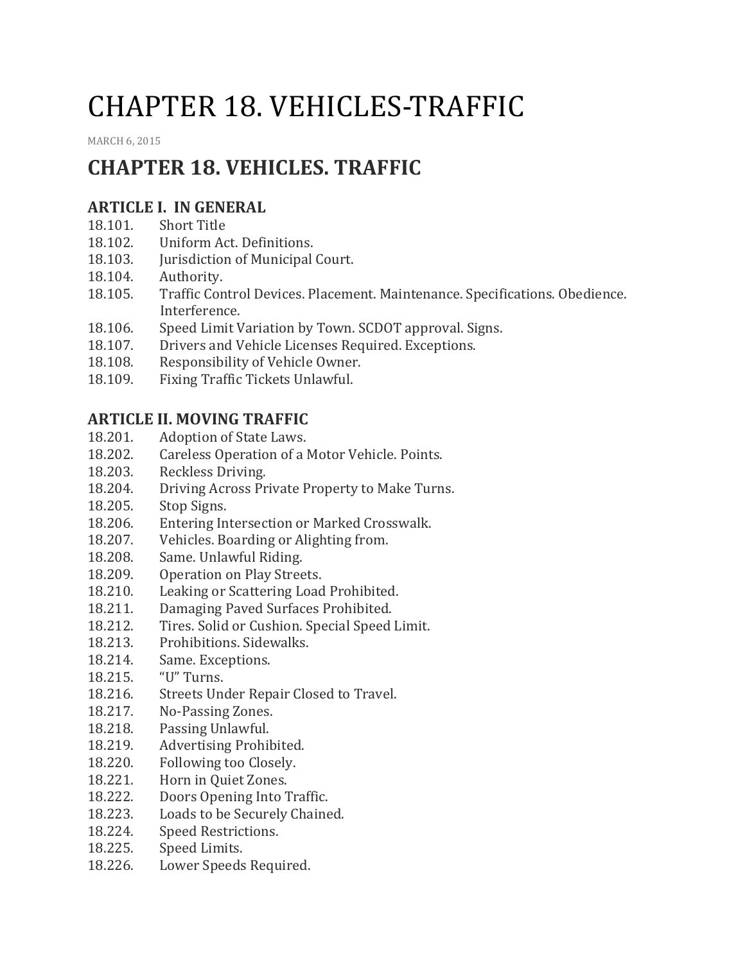# CHAPTER 18. VEHICLES-TRAFFIC

[MARCH](http://townofcampobello.us/chapter-18-vehicles-traffic/) 6, 2015

# **CHAPTER 18. VEHICLES. TRAFFIC**

## **ARTICLE I. IN GENERAL**

- 18.101. Short Title
- 18.102. Uniform Act. Definitions.
- 18.103. Jurisdiction of Municipal Court.
- 18.104. Authority.
- 18.105. Traffic Control Devices. Placement. Maintenance. Specifications. Obedience. Interference.
- 18.106. Speed Limit Variation by Town. SCDOT approval. Signs.
- 18.107. Drivers and Vehicle Licenses Required. Exceptions.
- 18.108. Responsibility of Vehicle Owner.
- 18.109. Fixing Traffic Tickets Unlawful.

## **ARTICLE II. MOVING TRAFFIC**

- 18.201. Adoption of State Laws.
- 18.202. Careless Operation of a Motor Vehicle. Points.
- 18.203. Reckless Driving.
- 18.204. Driving Across Private Property to Make Turns.
- 18.205. Stop Signs.
- 18.206. Entering Intersection or Marked Crosswalk.
- 18.207. Vehicles. Boarding or Alighting from.
- 18.208. Same. Unlawful Riding.
- 18.209. Operation on Play Streets.
- 18.210. Leaking or Scattering Load Prohibited.
- 18.211. Damaging Paved Surfaces Prohibited.
- 18.212. Tires. Solid or Cushion. Special Speed Limit.
- 18.213. Prohibitions. Sidewalks.
- 18.214. Same. Exceptions.
- 18.215. "U" Turns.
- 18.216. Streets Under Repair Closed to Travel.
- 18.217. No-Passing Zones.
- 18.218. Passing Unlawful.
- 18.219. Advertising Prohibited.
- 18.220. Following too Closely.
- 18.221. Horn in Quiet Zones.
- 18.222. Doors Opening Into Traffic.
- 18.223. Loads to be Securely Chained.
- 18.224. Speed Restrictions.
- 18.225. Speed Limits.
- 18.226. Lower Speeds Required.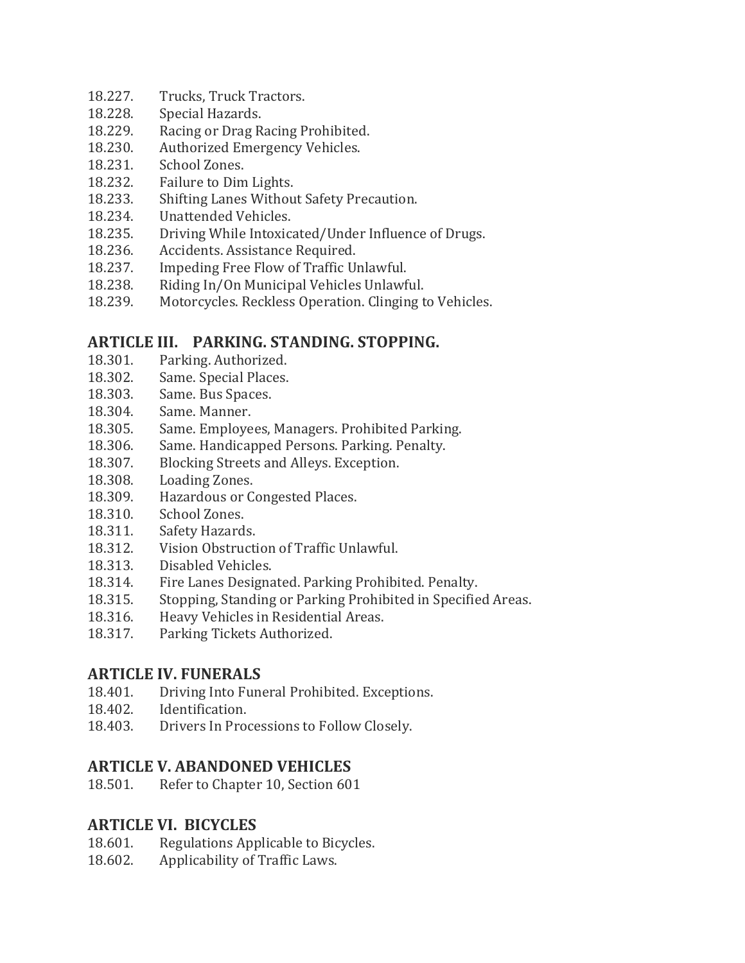- 18.227. Trucks, Truck Tractors.
- 18.228. Special Hazards.
- 18.229. Racing or Drag Racing Prohibited.
- 18.230. Authorized Emergency Vehicles.
- 18.231. School Zones.
- 18.232. Failure to Dim Lights.
- 18.233. Shifting Lanes Without Safety Precaution.
- 18.234. Unattended Vehicles.
- 18.235. Driving While Intoxicated/Under Influence of Drugs.
- 18.236. Accidents. Assistance Required.
- 18.237. Impeding Free Flow of Traffic Unlawful.
- 18.238. Riding In/On Municipal Vehicles Unlawful.
- 18.239. Motorcycles. Reckless Operation. Clinging to Vehicles.

#### **ARTICLE III. PARKING. STANDING. STOPPING.**

- 18.301. Parking. Authorized.
- 18.302. Same. Special Places.
- 18.303. Same. Bus Spaces.
- 18.304. Same. Manner.
- 18.305. Same. Employees, Managers. Prohibited Parking.
- 18.306. Same. Handicapped Persons. Parking. Penalty.
- 18.307. Blocking Streets and Alleys. Exception.
- 18.308. Loading Zones.
- 18.309. Hazardous or Congested Places.
- 18.310. School Zones.
- 18.311. Safety Hazards.
- 18.312. Vision Obstruction of Traffic Unlawful.
- 18.313. Disabled Vehicles.
- 18.314. Fire Lanes Designated. Parking Prohibited. Penalty.
- 18.315. Stopping, Standing or Parking Prohibited in Specified Areas.
- 18.316. Heavy Vehicles in Residential Areas.
- 18.317. Parking Tickets Authorized.

#### **ARTICLE IV. FUNERALS**

- 18.401. Driving Into Funeral Prohibited. Exceptions.
- 18.402. Identification.
- 18.403. Drivers In Processions to Follow Closely.

## **ARTICLE V. ABANDONED VEHICLES**

18.501. Refer to Chapter 10, Section 601

## **ARTICLE VI. BICYCLES**

- 18.601. Regulations Applicable to Bicycles.
- 18.602. Applicability of Traffic Laws.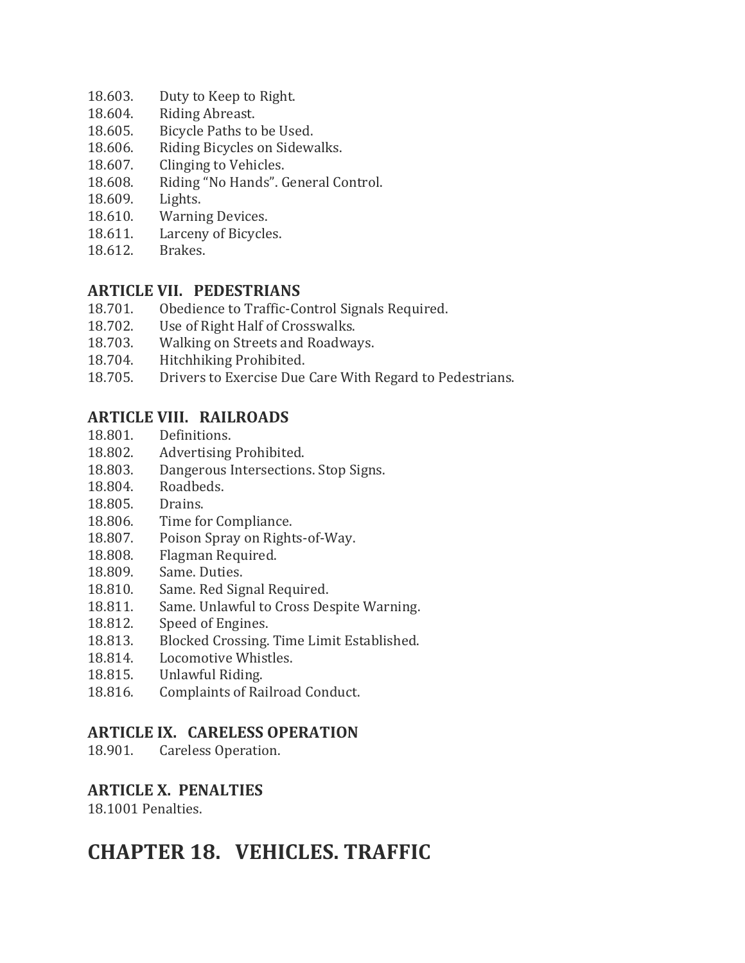- 18.603. Duty to Keep to Right.
- 18.604. Riding Abreast.
- 18.605. Bicycle Paths to be Used.
- 18.606. Riding Bicycles on Sidewalks.
- 18.607. Clinging to Vehicles.
- 18.608. Riding "No Hands". General Control.
- 18.609. Lights.
- 18.610. Warning Devices.
- 18.611. Larceny of Bicycles.
- 18.612. Brakes.

#### **ARTICLE VII. PEDESTRIANS**

- 18.701. Obedience to Traffic-Control Signals Required.
- 18.702. Use of Right Half of Crosswalks.
- 18.703. Walking on Streets and Roadways.
- 18.704. Hitchhiking Prohibited.
- 18.705. Drivers to Exercise Due Care With Regard to Pedestrians.

#### **ARTICLE VIII. RAILROADS**

- 18.801. Definitions.
- 18.802. Advertising Prohibited.
- 18.803. Dangerous Intersections. Stop Signs.
- 18.804. Roadbeds.
- 18.805. Drains.
- 18.806. Time for Compliance.
- 18.807. Poison Spray on Rights-of-Way.
- 18.808. Flagman Required.
- 18.809. Same. Duties.
- 18.810. Same. Red Signal Required.
- 18.811. Same. Unlawful to Cross Despite Warning.
- 18.812. Speed of Engines.
- 18.813. Blocked Crossing. Time Limit Established.
- 18.814. Locomotive Whistles.
- 18.815. Unlawful Riding.
- 18.816. Complaints of Railroad Conduct.

#### **ARTICLE IX. CARELESS OPERATION**

18.901. Careless Operation.

#### **ARTICLE X. PENALTIES**

18.1001 Penalties.

## **CHAPTER 18. VEHICLES. TRAFFIC**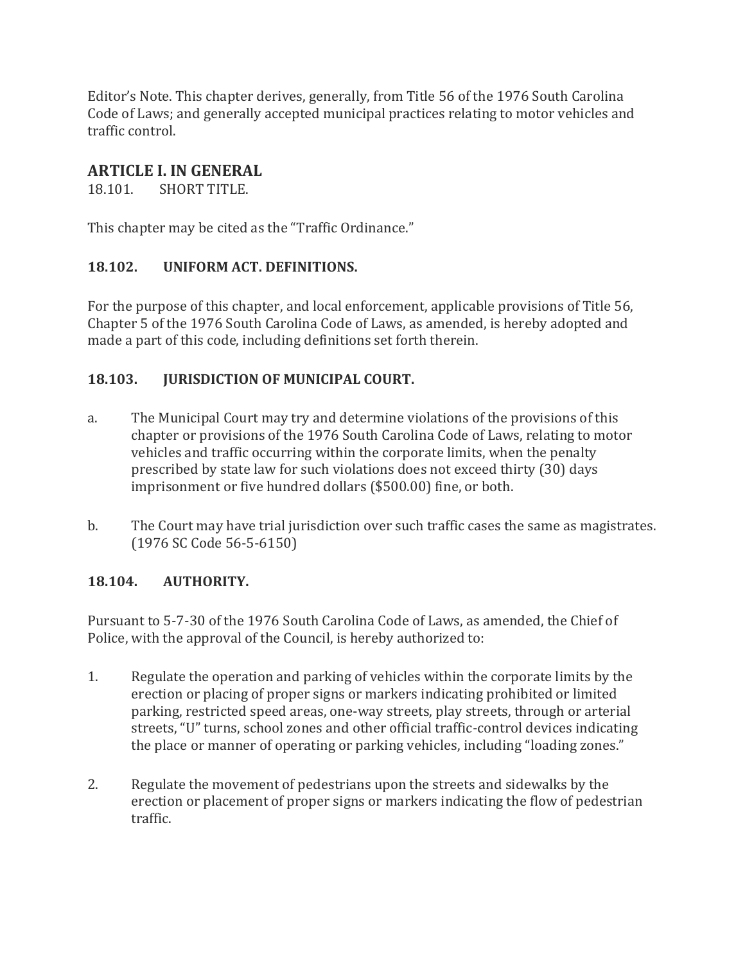Editor's Note. This chapter derives, generally, from Title 56 of the 1976 South Carolina Code of Laws; and generally accepted municipal practices relating to motor vehicles and traffic control.

## **ARTICLE I. IN GENERAL**

18.101. SHORT TITLE.

This chapter may be cited as the "Traffic Ordinance."

#### **18.102. UNIFORM ACT. DEFINITIONS.**

For the purpose of this chapter, and local enforcement, applicable provisions of Title 56, Chapter 5 of the 1976 South Carolina Code of Laws, as amended, is hereby adopted and made a part of this code, including definitions set forth therein.

#### **18.103. JURISDICTION OF MUNICIPAL COURT.**

- a. The Municipal Court may try and determine violations of the provisions of this chapter or provisions of the 1976 South Carolina Code of Laws, relating to motor vehicles and traffic occurring within the corporate limits, when the penalty prescribed by state law for such violations does not exceed thirty (30) days imprisonment or five hundred dollars (\$500.00) fine, or both.
- b. The Court may have trial jurisdiction over such traffic cases the same as magistrates. (1976 SC Code 56-5-6150)

#### **18.104. AUTHORITY.**

Pursuant to 5-7-30 of the 1976 South Carolina Code of Laws, as amended, the Chief of Police, with the approval of the Council, is hereby authorized to:

- 1. Regulate the operation and parking of vehicles within the corporate limits by the erection or placing of proper signs or markers indicating prohibited or limited parking, restricted speed areas, one-way streets, play streets, through or arterial streets, "U" turns, school zones and other official traffic-control devices indicating the place or manner of operating or parking vehicles, including "loading zones."
- 2. Regulate the movement of pedestrians upon the streets and sidewalks by the erection or placement of proper signs or markers indicating the flow of pedestrian traffic.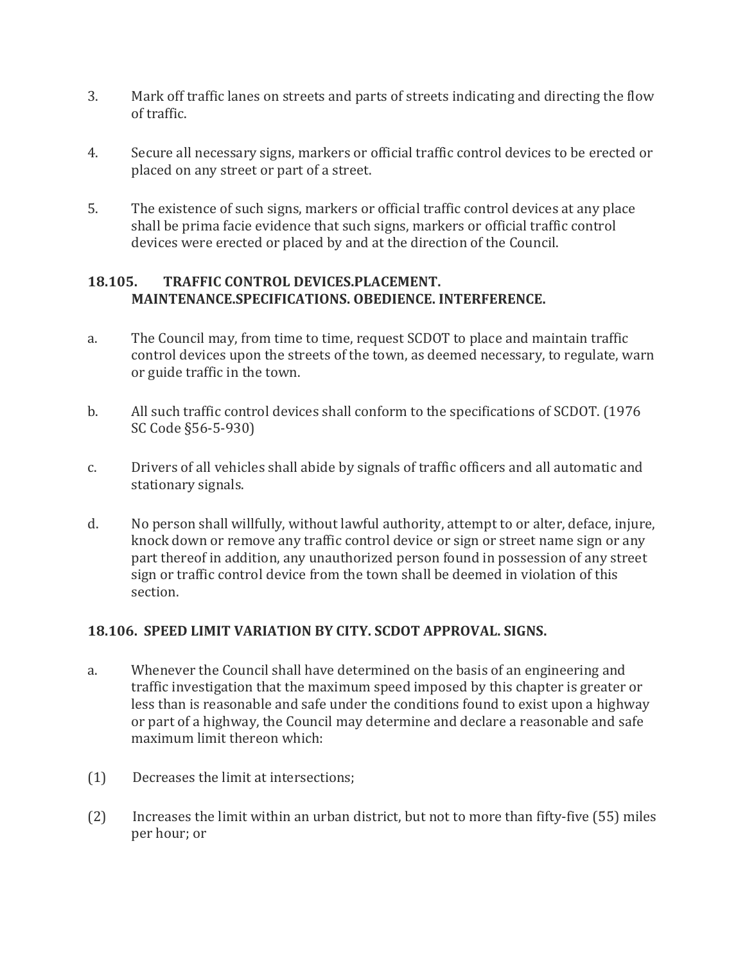- 3. Mark off traffic lanes on streets and parts of streets indicating and directing the flow of traffic.
- 4. Secure all necessary signs, markers or official traffic control devices to be erected or placed on any street or part of a street.
- 5. The existence of such signs, markers or official traffic control devices at any place shall be prima facie evidence that such signs, markers or official traffic control devices were erected or placed by and at the direction of the Council.

#### **18.105. TRAFFIC CONTROL DEVICES.PLACEMENT. MAINTENANCE.SPECIFICATIONS. OBEDIENCE. INTERFERENCE.**

- a. The Council may, from time to time, request SCDOT to place and maintain traffic control devices upon the streets of the town, as deemed necessary, to regulate, warn or guide traffic in the town.
- b. All such traffic control devices shall conform to the specifications of SCDOT. (1976 SC Code §56-5-930)
- c. Drivers of all vehicles shall abide by signals of traffic officers and all automatic and stationary signals.
- d. No person shall willfully, without lawful authority, attempt to or alter, deface, injure, knock down or remove any traffic control device or sign or street name sign or any part thereof in addition, any unauthorized person found in possession of any street sign or traffic control device from the town shall be deemed in violation of this section.

#### **18.106. SPEED LIMIT VARIATION BY CITY. SCDOT APPROVAL. SIGNS.**

- a. Whenever the Council shall have determined on the basis of an engineering and traffic investigation that the maximum speed imposed by this chapter is greater or less than is reasonable and safe under the conditions found to exist upon a highway or part of a highway, the Council may determine and declare a reasonable and safe maximum limit thereon which:
- (1) Decreases the limit at intersections;
- (2) Increases the limit within an urban district, but not to more than fifty-five (55) miles per hour; or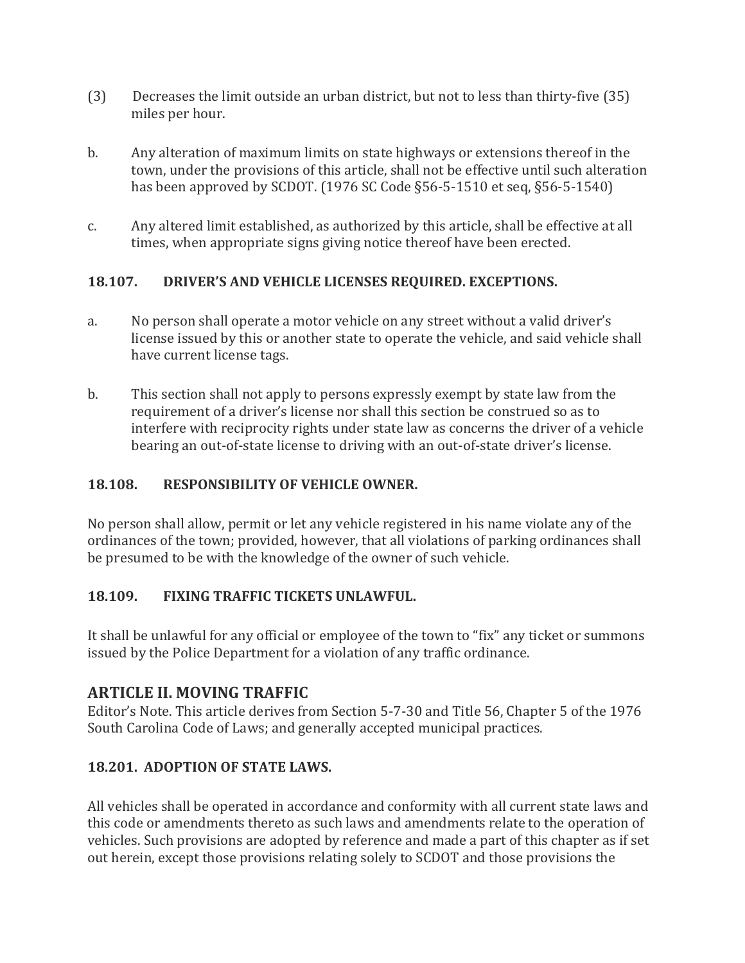- (3) Decreases the limit outside an urban district, but not to less than thirty-five (35) miles per hour.
- b. Any alteration of maximum limits on state highways or extensions thereof in the town, under the provisions of this article, shall not be effective until such alteration has been approved by SCDOT. (1976 SC Code §56-5-1510 et seq, §56-5-1540)
- c. Any altered limit established, as authorized by this article, shall be effective at all times, when appropriate signs giving notice thereof have been erected.

#### **18.107. DRIVER'S AND VEHICLE LICENSES REQUIRED. EXCEPTIONS.**

- a. No person shall operate a motor vehicle on any street without a valid driver's license issued by this or another state to operate the vehicle, and said vehicle shall have current license tags.
- b. This section shall not apply to persons expressly exempt by state law from the requirement of a driver's license nor shall this section be construed so as to interfere with reciprocity rights under state law as concerns the driver of a vehicle bearing an out-of-state license to driving with an out-of-state driver's license.

## **18.108. RESPONSIBILITY OF VEHICLE OWNER.**

No person shall allow, permit or let any vehicle registered in his name violate any of the ordinances of the town; provided, however, that all violations of parking ordinances shall be presumed to be with the knowledge of the owner of such vehicle.

## **18.109. FIXING TRAFFIC TICKETS UNLAWFUL.**

It shall be unlawful for any official or employee of the town to "fix" any ticket or summons issued by the Police Department for a violation of any traffic ordinance.

## **ARTICLE II. MOVING TRAFFIC**

Editor's Note. This article derives from Section 5-7-30 and Title 56, Chapter 5 of the 1976 South Carolina Code of Laws; and generally accepted municipal practices.

## **18.201. ADOPTION OF STATE LAWS.**

All vehicles shall be operated in accordance and conformity with all current state laws and this code or amendments thereto as such laws and amendments relate to the operation of vehicles. Such provisions are adopted by reference and made a part of this chapter as if set out herein, except those provisions relating solely to SCDOT and those provisions the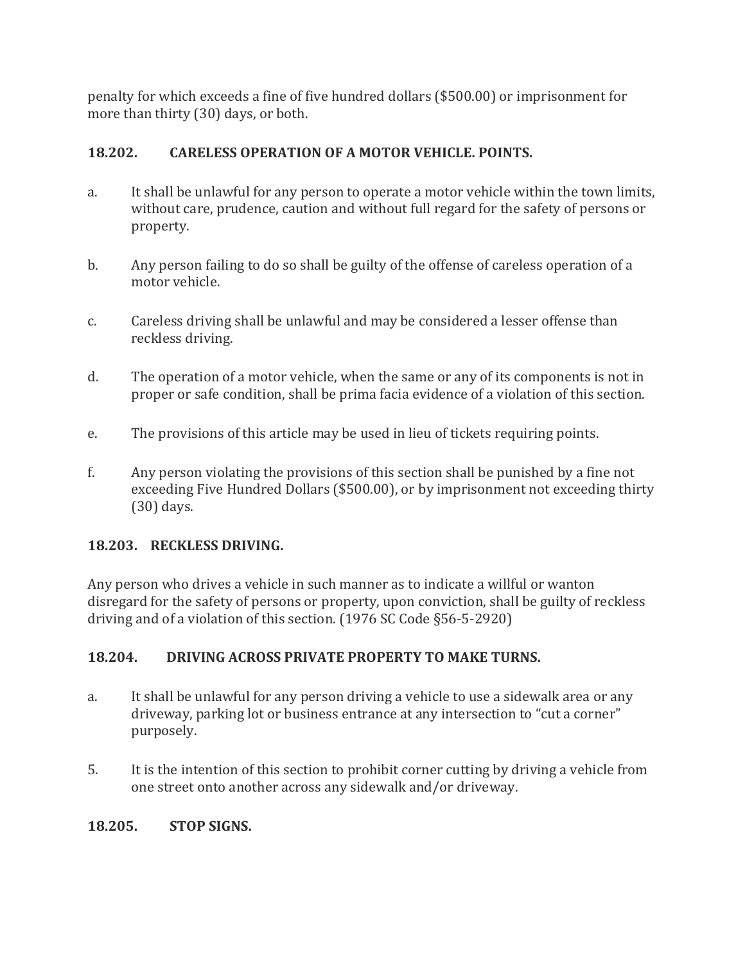penalty for which exceeds a fine of five hundred dollars (\$500.00) or imprisonment for more than thirty (30) days, or both.

#### **18.202. CARELESS OPERATION OF A MOTOR VEHICLE. POINTS.**

- a. It shall be unlawful for any person to operate a motor vehicle within the town limits, without care, prudence, caution and without full regard for the safety of persons or property.
- b. Any person failing to do so shall be guilty of the offense of careless operation of a motor vehicle.
- c. Careless driving shall be unlawful and may be considered a lesser offense than reckless driving.
- d. The operation of a motor vehicle, when the same or any of its components is not in proper or safe condition, shall be prima facia evidence of a violation of this section.
- e. The provisions of this article may be used in lieu of tickets requiring points.
- f. Any person violating the provisions of this section shall be punished by a fine not exceeding Five Hundred Dollars (\$500.00), or by imprisonment not exceeding thirty (30) days.

#### **18.203. RECKLESS DRIVING.**

Any person who drives a vehicle in such manner as to indicate a willful or wanton disregard for the safety of persons or property, upon conviction, shall be guilty of reckless driving and of a violation of this section. (1976 SC Code §56-5-2920)

## **18.204. DRIVING ACROSS PRIVATE PROPERTY TO MAKE TURNS.**

- a. It shall be unlawful for any person driving a vehicle to use a sidewalk area or any driveway, parking lot or business entrance at any intersection to "cut a corner" purposely.
- 5. It is the intention of this section to prohibit corner cutting by driving a vehicle from one street onto another across any sidewalk and/or driveway.

## **18.205. STOP SIGNS.**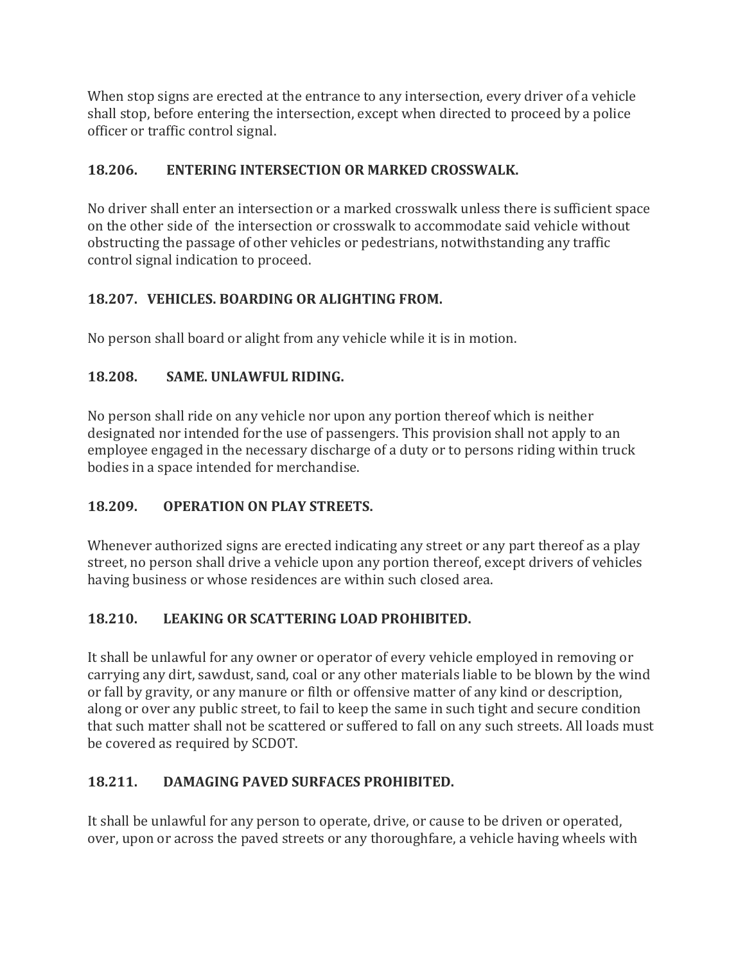When stop signs are erected at the entrance to any intersection, every driver of a vehicle shall stop, before entering the intersection, except when directed to proceed by a police officer or traffic control signal.

## **18.206. ENTERING INTERSECTION OR MARKED CROSSWALK.**

No driver shall enter an intersection or a marked crosswalk unless there is sufficient space on the other side of the intersection or crosswalk to accommodate said vehicle without obstructing the passage of other vehicles or pedestrians, notwithstanding any traffic control signal indication to proceed.

## **18.207. VEHICLES. BOARDING OR ALIGHTING FROM.**

No person shall board or alight from any vehicle while it is in motion.

## **18.208. SAME. UNLAWFUL RIDING.**

No person shall ride on any vehicle nor upon any portion thereof which is neither designated nor intended for the use of passengers. This provision shall not apply to an employee engaged in the necessary discharge of a duty or to persons riding within truck bodies in a space intended for merchandise.

## **18.209. OPERATION ON PLAY STREETS.**

Whenever authorized signs are erected indicating any street or any part thereof as a play street, no person shall drive a vehicle upon any portion thereof, except drivers of vehicles having business or whose residences are within such closed area.

## **18.210. LEAKING OR SCATTERING LOAD PROHIBITED.**

It shall be unlawful for any owner or operator of every vehicle employed in removing or carrying any dirt, sawdust, sand, coal or any other materials liable to be blown by the wind or fall by gravity, or any manure or filth or offensive matter of any kind or description, along or over any public street, to fail to keep the same in such tight and secure condition that such matter shall not be scattered or suffered to fall on any such streets. All loads must be covered as required by SCDOT.

## **18.211. DAMAGING PAVED SURFACES PROHIBITED.**

It shall be unlawful for any person to operate, drive, or cause to be driven or operated, over, upon or across the paved streets or any thoroughfare, a vehicle having wheels with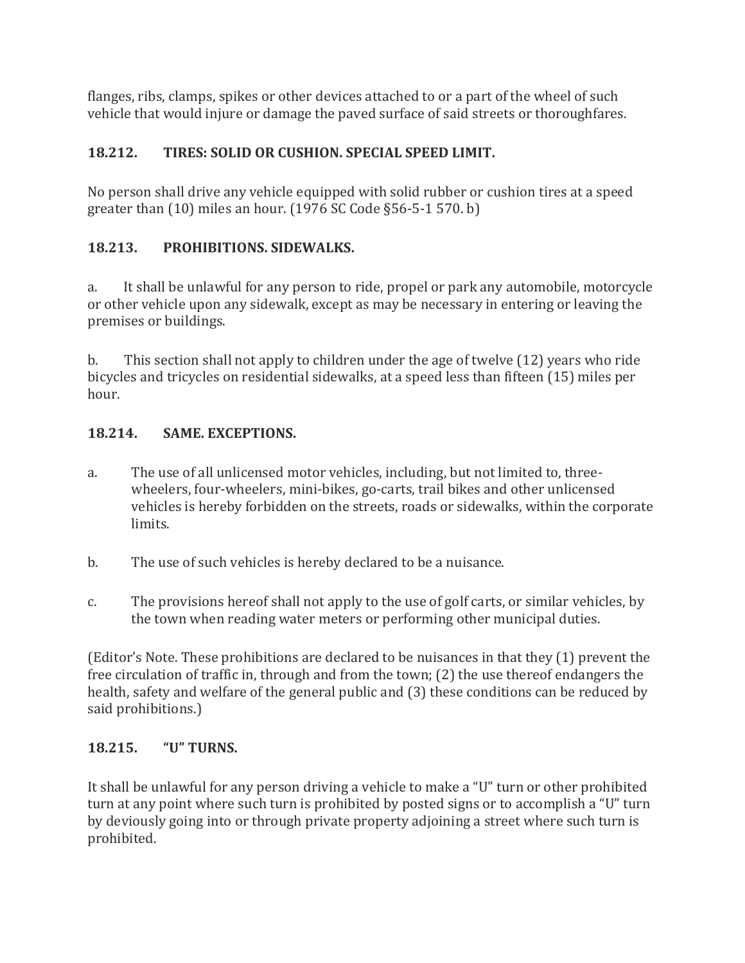flanges, ribs, clamps, spikes or other devices attached to or a part of the wheel of such vehicle that would injure or damage the paved surface of said streets or thoroughfares.

## **18.212. TIRES: SOLID OR CUSHION. SPECIAL SPEED LIMIT.**

No person shall drive any vehicle equipped with solid rubber or cushion tires at a speed greater than (10) miles an hour. (1976 SC Code §56-5-1 570. b)

## **18.213. PROHIBITIONS. SIDEWALKS.**

a. It shall be unlawful for any person to ride, propel or park any automobile, motorcycle or other vehicle upon any sidewalk, except as may be necessary in entering or leaving the premises or buildings.

b. This section shall not apply to children under the age of twelve (12) years who ride bicycles and tricycles on residential sidewalks, at a speed less than fifteen (15) miles per hour.

#### **18.214. SAME. EXCEPTIONS.**

- a. The use of all unlicensed motor vehicles, including, but not limited to, threewheelers, four-wheelers, mini-bikes, go-carts, trail bikes and other unlicensed vehicles is hereby forbidden on the streets, roads or sidewalks, within the corporate limits.
- b. The use of such vehicles is hereby declared to be a nuisance.
- c. The provisions hereof shall not apply to the use of golf carts, or similar vehicles, by the town when reading water meters or performing other municipal duties.

(Editor's Note. These prohibitions are declared to be nuisances in that they (1) prevent the free circulation of traffic in, through and from the town; (2) the use thereof endangers the health, safety and welfare of the general public and (3) these conditions can be reduced by said prohibitions.)

## **18.215. "U" TURNS.**

It shall be unlawful for any person driving a vehicle to make a "U" turn or other prohibited turn at any point where such turn is prohibited by posted signs or to accomplish a "U" turn by deviously going into or through private property adjoining a street where such turn is prohibited.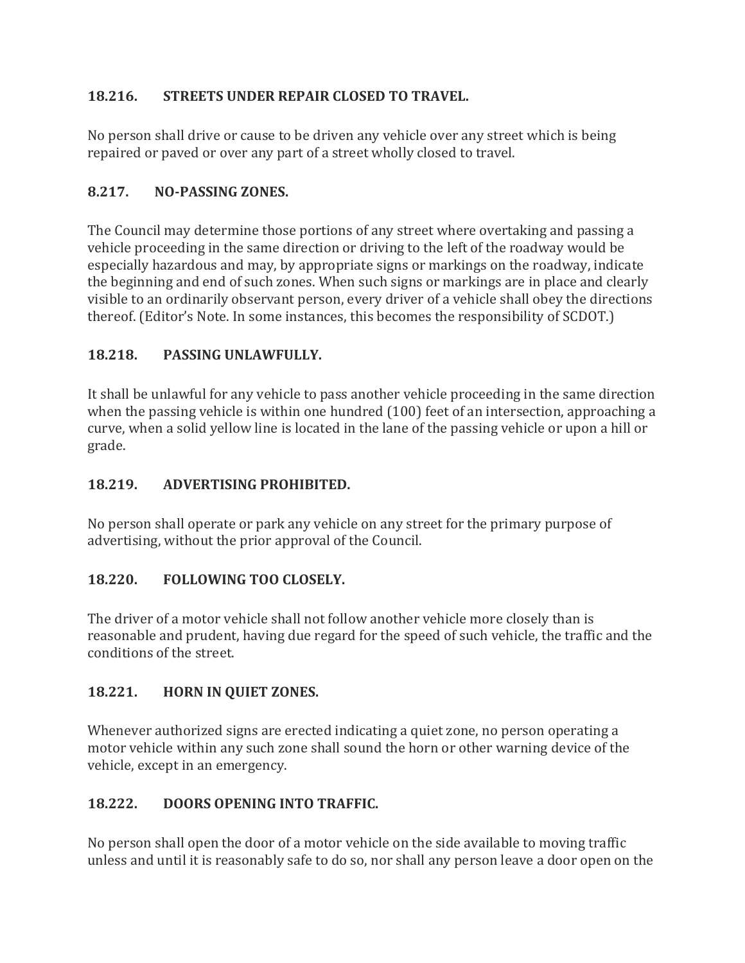## **18.216. STREETS UNDER REPAIR CLOSED TO TRAVEL.**

No person shall drive or cause to be driven any vehicle over any street which is being repaired or paved or over any part of a street wholly closed to travel.

#### **8.217. NO-PASSING ZONES.**

The Council may determine those portions of any street where overtaking and passing a vehicle proceeding in the same direction or driving to the left of the roadway would be especially hazardous and may, by appropriate signs or markings on the roadway, indicate the beginning and end of such zones. When such signs or markings are in place and clearly visible to an ordinarily observant person, every driver of a vehicle shall obey the directions thereof. (Editor's Note. In some instances, this becomes the responsibility of SCDOT.)

#### **18.218. PASSING UNLAWFULLY.**

It shall be unlawful for any vehicle to pass another vehicle proceeding in the same direction when the passing vehicle is within one hundred (100) feet of an intersection, approaching a curve, when a solid yellow line is located in the lane of the passing vehicle or upon a hill or grade.

#### **18.219. ADVERTISING PROHIBITED.**

No person shall operate or park any vehicle on any street for the primary purpose of advertising, without the prior approval of the Council.

#### **18.220. FOLLOWING TOO CLOSELY.**

The driver of a motor vehicle shall not follow another vehicle more closely than is reasonable and prudent, having due regard for the speed of such vehicle, the traffic and the conditions of the street.

#### **18.221. HORN IN QUIET ZONES.**

Whenever authorized signs are erected indicating a quiet zone, no person operating a motor vehicle within any such zone shall sound the horn or other warning device of the vehicle, except in an emergency.

## **18.222. DOORS OPENING INTO TRAFFIC.**

No person shall open the door of a motor vehicle on the side available to moving traffic unless and until it is reasonably safe to do so, nor shall any person leave a door open on the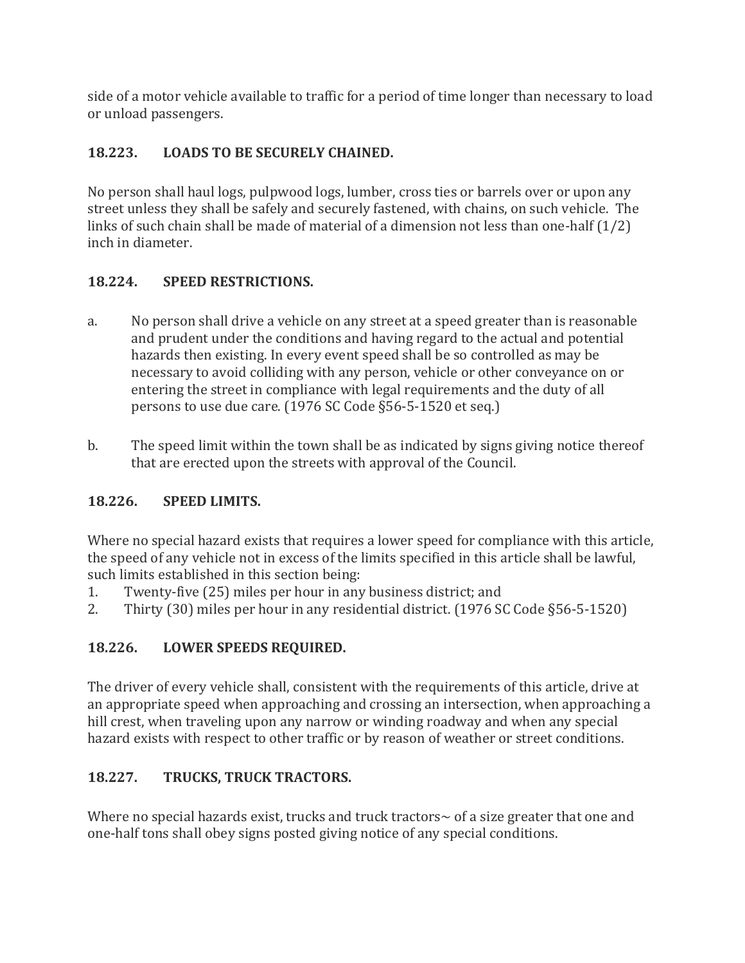side of a motor vehicle available to traffic for a period of time longer than necessary to load or unload passengers.

## **18.223. LOADS TO BE SECURELY CHAINED.**

No person shall haul logs, pulpwood logs, lumber, cross ties or barrels over or upon any street unless they shall be safely and securely fastened, with chains, on such vehicle. The links of such chain shall be made of material of a dimension not less than one-half (1/2) inch in diameter.

#### **18.224. SPEED RESTRICTIONS.**

- a. No person shall drive a vehicle on any street at a speed greater than is reasonable and prudent under the conditions and having regard to the actual and potential hazards then existing. In every event speed shall be so controlled as may be necessary to avoid colliding with any person, vehicle or other conveyance on or entering the street in compliance with legal requirements and the duty of all persons to use due care. (1976 SC Code §56-5-1520 et seq.)
- b. The speed limit within the town shall be as indicated by signs giving notice thereof that are erected upon the streets with approval of the Council.

## **18.226. SPEED LIMITS.**

Where no special hazard exists that requires a lower speed for compliance with this article, the speed of any vehicle not in excess of the limits specified in this article shall be lawful, such limits established in this section being:

- 1. Twenty-five (25) miles per hour in any business district; and
- 2. Thirty (30) miles per hour in any residential district. (1976 SC Code §56-5-1520)

## **18.226. LOWER SPEEDS REQUIRED.**

The driver of every vehicle shall, consistent with the requirements of this article, drive at an appropriate speed when approaching and crossing an intersection, when approaching a hill crest, when traveling upon any narrow or winding roadway and when any special hazard exists with respect to other traffic or by reason of weather or street conditions.

## **18.227. TRUCKS, TRUCK TRACTORS.**

Where no special hazards exist, trucks and truck tractors~ of a size greater that one and one-half tons shall obey signs posted giving notice of any special conditions.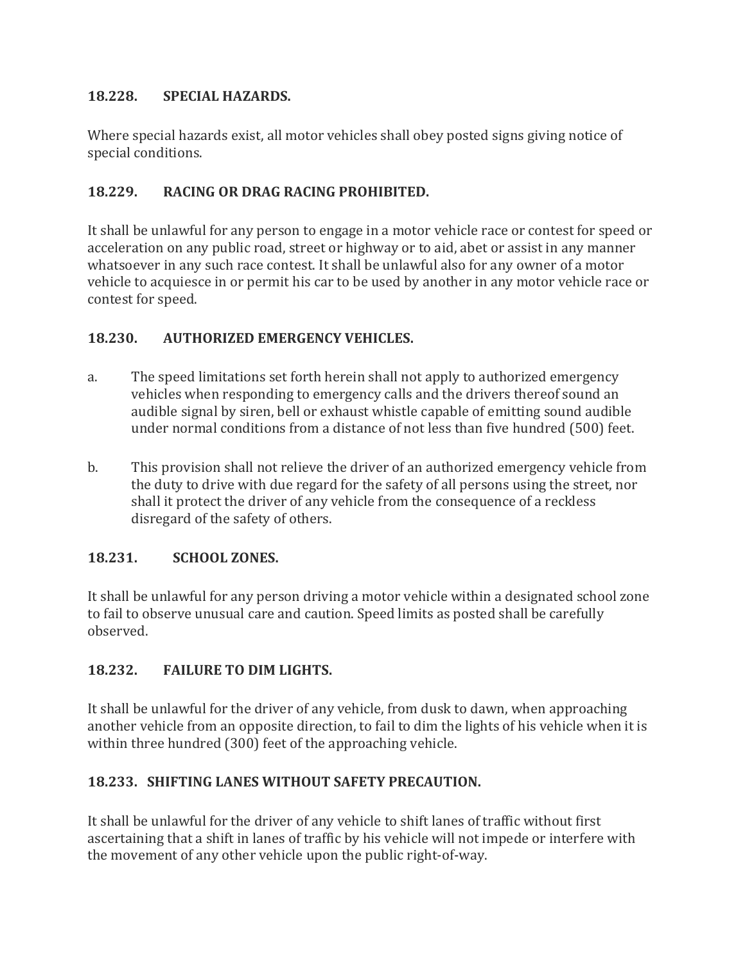#### **18.228. SPECIAL HAZARDS.**

Where special hazards exist, all motor vehicles shall obey posted signs giving notice of special conditions.

#### **18.229. RACING OR DRAG RACING PROHIBITED.**

It shall be unlawful for any person to engage in a motor vehicle race or contest for speed or acceleration on any public road, street or highway or to aid, abet or assist in any manner whatsoever in any such race contest. It shall be unlawful also for any owner of a motor vehicle to acquiesce in or permit his car to be used by another in any motor vehicle race or contest for speed.

#### **18.230. AUTHORIZED EMERGENCY VEHICLES.**

- a. The speed limitations set forth herein shall not apply to authorized emergency vehicles when responding to emergency calls and the drivers thereof sound an audible signal by siren, bell or exhaust whistle capable of emitting sound audible under normal conditions from a distance of not less than five hundred (500) feet.
- b. This provision shall not relieve the driver of an authorized emergency vehicle from the duty to drive with due regard for the safety of all persons using the street, nor shall it protect the driver of any vehicle from the consequence of a reckless disregard of the safety of others.

#### **18.231. SCHOOL ZONES.**

It shall be unlawful for any person driving a motor vehicle within a designated school zone to fail to observe unusual care and caution. Speed limits as posted shall be carefully observed.

#### **18.232. FAILURE TO DIM LIGHTS.**

It shall be unlawful for the driver of any vehicle, from dusk to dawn, when approaching another vehicle from an opposite direction, to fail to dim the lights of his vehicle when it is within three hundred (300) feet of the approaching vehicle.

#### **18.233. SHIFTING LANES WITHOUT SAFETY PRECAUTION.**

It shall be unlawful for the driver of any vehicle to shift lanes of traffic without first ascertaining that a shift in lanes of traffic by his vehicle will not impede or interfere with the movement of any other vehicle upon the public right-of-way.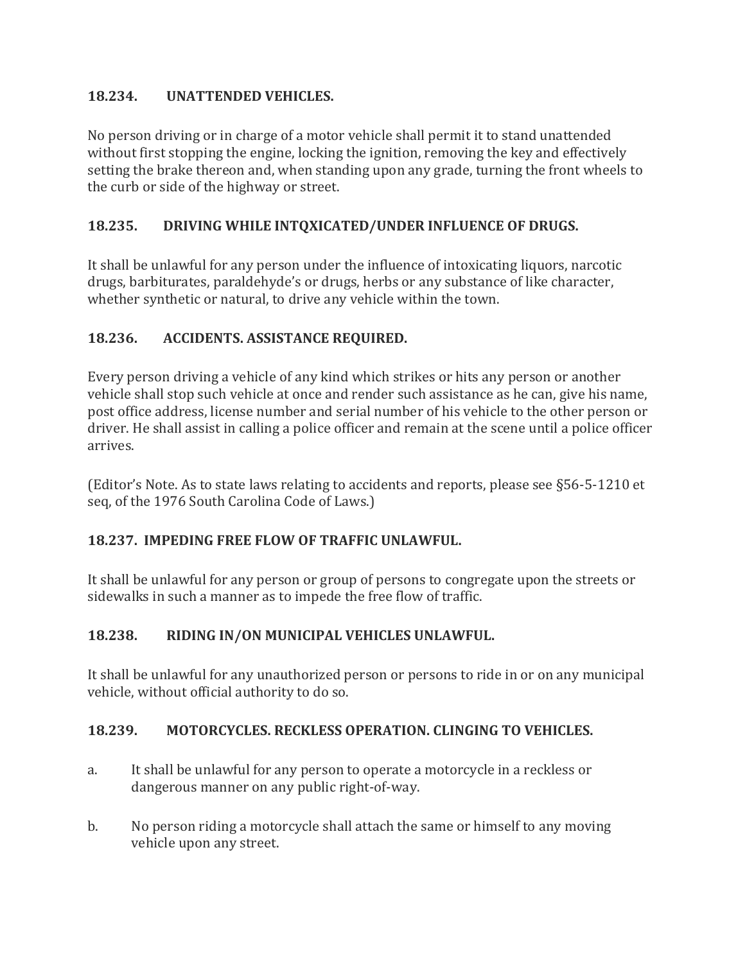#### **18.234. UNATTENDED VEHICLES.**

No person driving or in charge of a motor vehicle shall permit it to stand unattended without first stopping the engine, locking the ignition, removing the key and effectively setting the brake thereon and, when standing upon any grade, turning the front wheels to the curb or side of the highway or street.

#### **18.235. DRIVING WHILE INTQXICATED/UNDER INFLUENCE OF DRUGS.**

It shall be unlawful for any person under the influence of intoxicating liquors, narcotic drugs, barbiturates, paraldehyde's or drugs, herbs or any substance of like character, whether synthetic or natural, to drive any vehicle within the town.

#### **18.236. ACCIDENTS. ASSISTANCE REQUIRED.**

Every person driving a vehicle of any kind which strikes or hits any person or another vehicle shall stop such vehicle at once and render such assistance as he can, give his name, post office address, license number and serial number of his vehicle to the other person or driver. He shall assist in calling a police officer and remain at the scene until a police officer arrives.

(Editor's Note. As to state laws relating to accidents and reports, please see §56-5-1210 et seq, of the 1976 South Carolina Code of Laws.)

#### **18.237. IMPEDING FREE FLOW OF TRAFFIC UNLAWFUL.**

It shall be unlawful for any person or group of persons to congregate upon the streets or sidewalks in such a manner as to impede the free flow of traffic.

#### **18.238. RIDING IN/ON MUNICIPAL VEHICLES UNLAWFUL.**

It shall be unlawful for any unauthorized person or persons to ride in or on any municipal vehicle, without official authority to do so.

#### **18.239. MOTORCYCLES. RECKLESS OPERATION. CLINGING TO VEHICLES.**

- a. It shall be unlawful for any person to operate a motorcycle in a reckless or dangerous manner on any public right-of-way.
- b. No person riding a motorcycle shall attach the same or himself to any moving vehicle upon any street.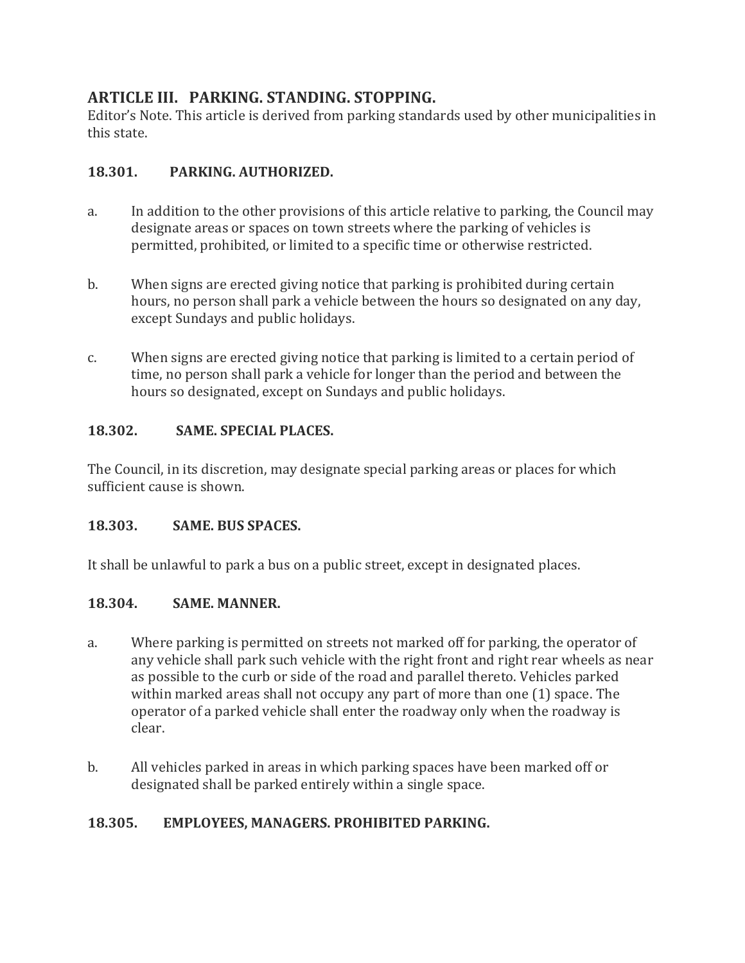## **ARTICLE III. PARKING. STANDING. STOPPING.**

Editor's Note. This article is derived from parking standards used by other municipalities in this state.

#### **18.301. PARKING. AUTHORIZED.**

- a. In addition to the other provisions of this article relative to parking, the Council may designate areas or spaces on town streets where the parking of vehicles is permitted, prohibited, or limited to a specific time or otherwise restricted.
- b. When signs are erected giving notice that parking is prohibited during certain hours, no person shall park a vehicle between the hours so designated on any day, except Sundays and public holidays.
- c. When signs are erected giving notice that parking is limited to a certain period of time, no person shall park a vehicle for longer than the period and between the hours so designated, except on Sundays and public holidays.

#### **18.302. SAME. SPECIAL PLACES.**

The Council, in its discretion, may designate special parking areas or places for which sufficient cause is shown.

#### **18.303. SAME. BUS SPACES.**

It shall be unlawful to park a bus on a public street, except in designated places.

#### **18.304. SAME. MANNER.**

- a. Where parking is permitted on streets not marked off for parking, the operator of any vehicle shall park such vehicle with the right front and right rear wheels as near as possible to the curb or side of the road and parallel thereto. Vehicles parked within marked areas shall not occupy any part of more than one (1) space. The operator of a parked vehicle shall enter the roadway only when the roadway is clear.
- b. All vehicles parked in areas in which parking spaces have been marked off or designated shall be parked entirely within a single space.

#### **18.305. EMPLOYEES, MANAGERS. PROHIBITED PARKING.**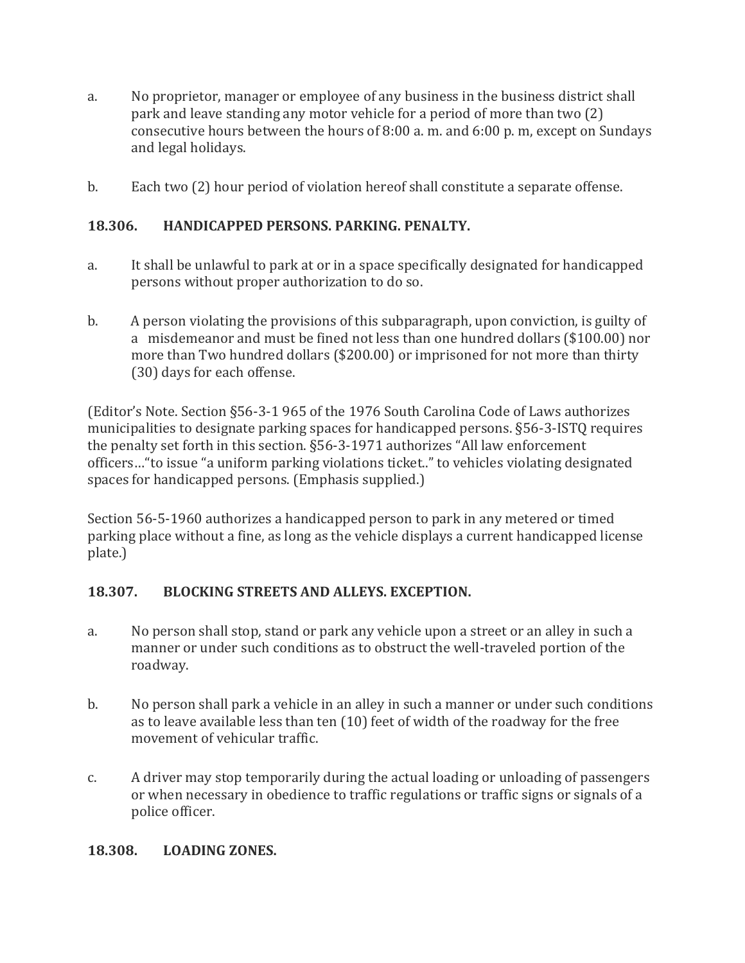- a. No proprietor, manager or employee of any business in the business district shall park and leave standing any motor vehicle for a period of more than two (2) consecutive hours between the hours of 8:00 a. m. and 6:00 p. m, except on Sundays and legal holidays.
- b. Each two (2) hour period of violation hereof shall constitute a separate offense.

#### **18.306. HANDICAPPED PERSONS. PARKING. PENALTY.**

- a. It shall be unlawful to park at or in a space specifically designated for handicapped persons without proper authorization to do so.
- b. A person violating the provisions of this subparagraph, upon conviction, is guilty of a misdemeanor and must be fined not less than one hundred dollars (\$100.00) nor more than Two hundred dollars (\$200.00) or imprisoned for not more than thirty (30) days for each offense.

(Editor's Note. Section §56-3-1 965 of the 1976 South Carolina Code of Laws authorizes municipalities to designate parking spaces for handicapped persons. §56-3-ISTQ requires the penalty set forth in this section. §56-3-1971 authorizes "All law enforcement officers…"to issue "a uniform parking violations ticket.." to vehicles violating designated spaces for handicapped persons. (Emphasis supplied.)

Section 56-5-1960 authorizes a handicapped person to park in any metered or timed parking place without a fine, as long as the vehicle displays a current handicapped license plate.)

#### **18.307. BLOCKING STREETS AND ALLEYS. EXCEPTION.**

- a. No person shall stop, stand or park any vehicle upon a street or an alley in such a manner or under such conditions as to obstruct the well-traveled portion of the roadway.
- b. No person shall park a vehicle in an alley in such a manner or under such conditions as to leave available less than ten (10) feet of width of the roadway for the free movement of vehicular traffic.
- c. A driver may stop temporarily during the actual loading or unloading of passengers or when necessary in obedience to traffic regulations or traffic signs or signals of a police officer.

#### **18.308. LOADING ZONES.**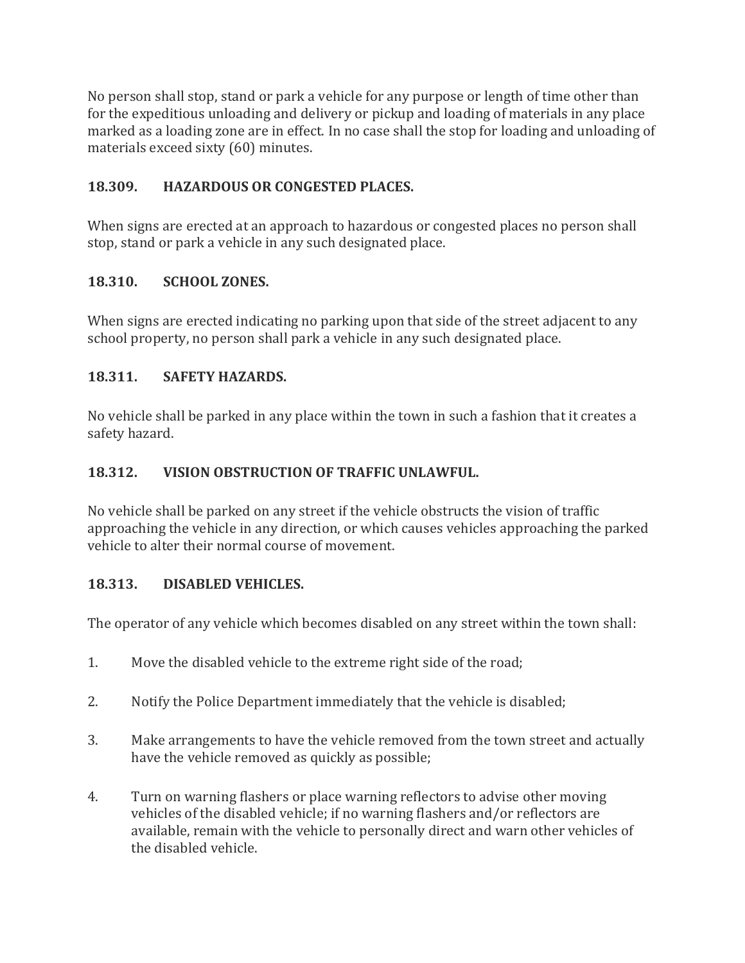No person shall stop, stand or park a vehicle for any purpose or length of time other than for the expeditious unloading and delivery or pickup and loading of materials in any place marked as a loading zone are in effect. In no case shall the stop for loading and unloading of materials exceed sixty (60) minutes.

#### **18.309. HAZARDOUS OR CONGESTED PLACES.**

When signs are erected at an approach to hazardous or congested places no person shall stop, stand or park a vehicle in any such designated place.

#### **18.310. SCHOOL ZONES.**

When signs are erected indicating no parking upon that side of the street adjacent to any school property, no person shall park a vehicle in any such designated place.

#### **18.311. SAFETY HAZARDS.**

No vehicle shall be parked in any place within the town in such a fashion that it creates a safety hazard.

#### **18.312. VISION OBSTRUCTION OF TRAFFIC UNLAWFUL.**

No vehicle shall be parked on any street if the vehicle obstructs the vision of traffic approaching the vehicle in any direction, or which causes vehicles approaching the parked vehicle to alter their normal course of movement.

#### **18.313. DISABLED VEHICLES.**

The operator of any vehicle which becomes disabled on any street within the town shall:

- 1. Move the disabled vehicle to the extreme right side of the road;
- 2. Notify the Police Department immediately that the vehicle is disabled;
- 3. Make arrangements to have the vehicle removed from the town street and actually have the vehicle removed as quickly as possible;
- 4. Turn on warning flashers or place warning reflectors to advise other moving vehicles of the disabled vehicle; if no warning flashers and/or reflectors are available, remain with the vehicle to personally direct and warn other vehicles of the disabled vehicle.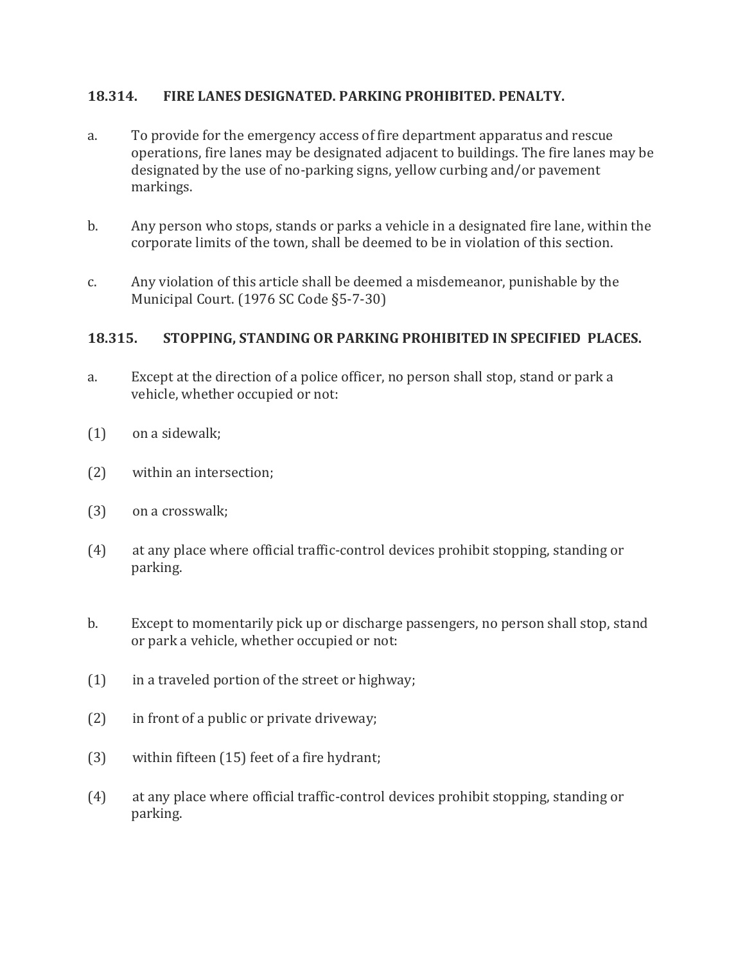#### **18.314. FIRE LANES DESIGNATED. PARKING PROHIBITED. PENALTY.**

- a. To provide for the emergency access of fire department apparatus and rescue operations, fire lanes may be designated adjacent to buildings. The fire lanes may be designated by the use of no-parking signs, yellow curbing and/or pavement markings.
- b. Any person who stops, stands or parks a vehicle in a designated fire lane, within the corporate limits of the town, shall be deemed to be in violation of this section.
- c. Any violation of this article shall be deemed a misdemeanor, punishable by the Municipal Court. (1976 SC Code §5-7-30)

#### **18.315. STOPPING, STANDING OR PARKING PROHIBITED IN SPECIFIED PLACES.**

- a. Except at the direction of a police officer, no person shall stop, stand or park a vehicle, whether occupied or not:
- (1) on a sidewalk;
- (2) within an intersection;
- (3) on a crosswalk;
- (4) at any place where official traffic-control devices prohibit stopping, standing or parking.
- b. Except to momentarily pick up or discharge passengers, no person shall stop, stand or park a vehicle, whether occupied or not:
- (1) in a traveled portion of the street or highway;
- (2) in front of a public or private driveway;
- (3) within fifteen (15) feet of a fire hydrant;
- (4) at any place where official traffic-control devices prohibit stopping, standing or parking.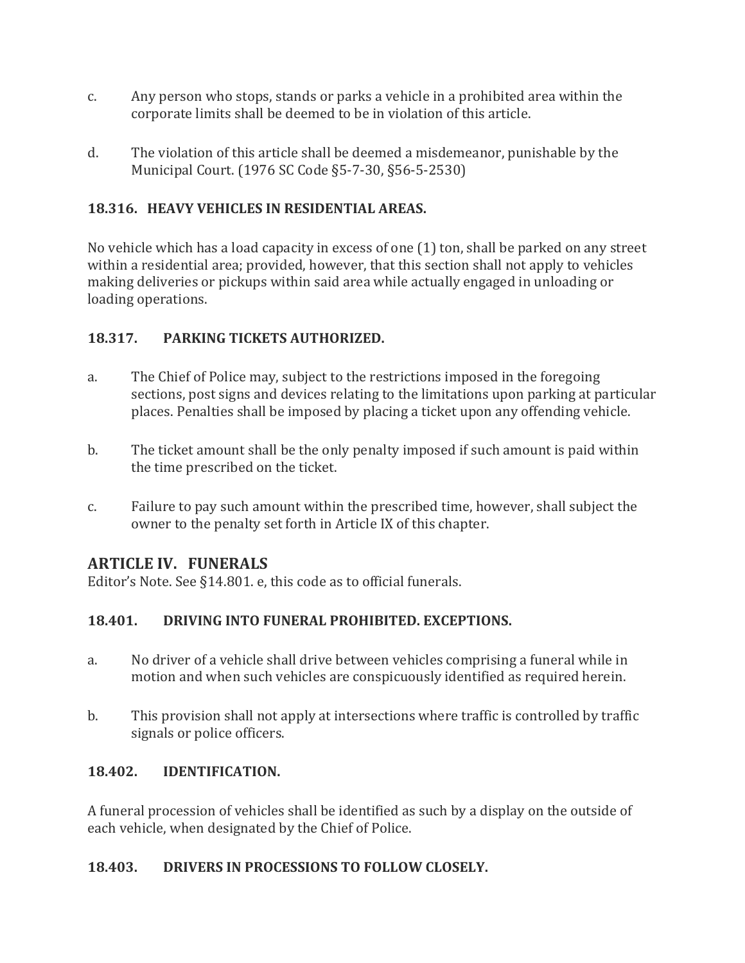- c. Any person who stops, stands or parks a vehicle in a prohibited area within the corporate limits shall be deemed to be in violation of this article.
- d. The violation of this article shall be deemed a misdemeanor, punishable by the Municipal Court. (1976 SC Code §5-7-30, §56-5-2530)

#### **18.316. HEAVY VEHICLES IN RESIDENTIAL AREAS.**

No vehicle which has a load capacity in excess of one (1) ton, shall be parked on any street within a residential area; provided, however, that this section shall not apply to vehicles making deliveries or pickups within said area while actually engaged in unloading or loading operations.

#### **18.317. PARKING TICKETS AUTHORIZED.**

- a. The Chief of Police may, subject to the restrictions imposed in the foregoing sections, post signs and devices relating to the limitations upon parking at particular places. Penalties shall be imposed by placing a ticket upon any offending vehicle.
- b. The ticket amount shall be the only penalty imposed if such amount is paid within the time prescribed on the ticket.
- c. Failure to pay such amount within the prescribed time, however, shall subject the owner to the penalty set forth in Article IX of this chapter.

## **ARTICLE IV. FUNERALS**

Editor's Note. See §14.801. e, this code as to official funerals.

## **18.401. DRIVING INTO FUNERAL PROHIBITED. EXCEPTIONS.**

- a. No driver of a vehicle shall drive between vehicles comprising a funeral while in motion and when such vehicles are conspicuously identified as required herein.
- b. This provision shall not apply at intersections where traffic is controlled by traffic signals or police officers.

#### **18.402. IDENTIFICATION.**

A funeral procession of vehicles shall be identified as such by a display on the outside of each vehicle, when designated by the Chief of Police.

#### **18.403. DRIVERS IN PROCESSIONS TO FOLLOW CLOSELY.**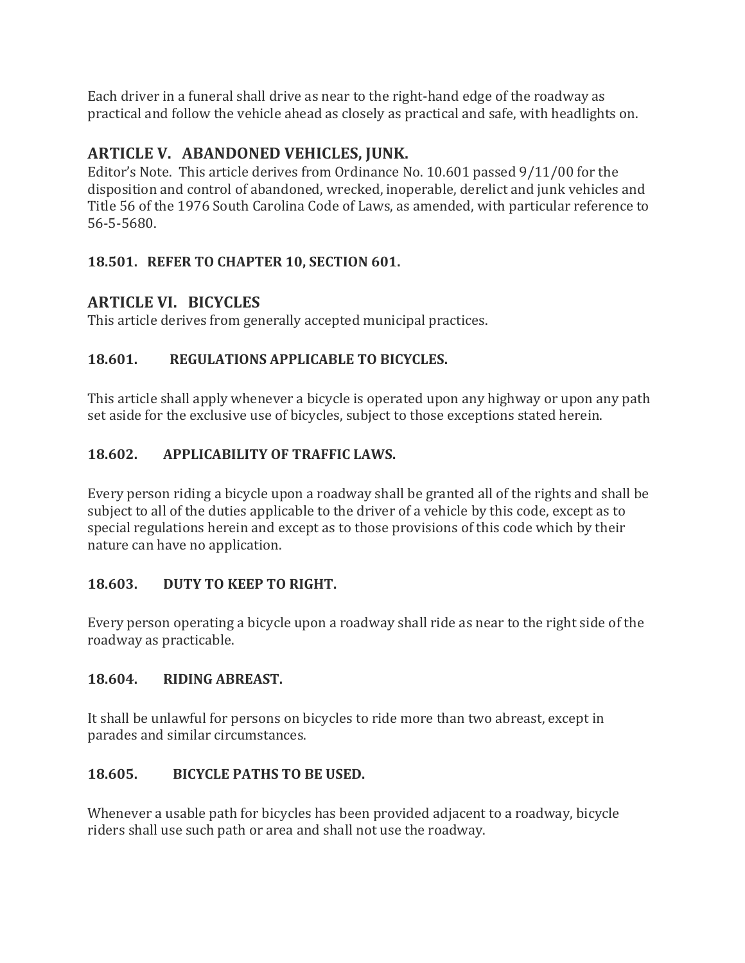Each driver in a funeral shall drive as near to the right-hand edge of the roadway as practical and follow the vehicle ahead as closely as practical and safe, with headlights on.

## **ARTICLE V. ABANDONED VEHICLES, JUNK.**

Editor's Note. This article derives from Ordinance No. 10.601 passed 9/11/00 for the disposition and control of abandoned, wrecked, inoperable, derelict and junk vehicles and Title 56 of the 1976 South Carolina Code of Laws, as amended, with particular reference to 56-5-5680.

## **18.501. REFER TO CHAPTER 10, SECTION 601.**

## **ARTICLE VI. BICYCLES**

This article derives from generally accepted municipal practices.

## **18.601. REGULATIONS APPLICABLE TO BICYCLES.**

This article shall apply whenever a bicycle is operated upon any highway or upon any path set aside for the exclusive use of bicycles, subject to those exceptions stated herein.

## **18.602. APPLICABILITY OF TRAFFIC LAWS.**

Every person riding a bicycle upon a roadway shall be granted all of the rights and shall be subject to all of the duties applicable to the driver of a vehicle by this code, except as to special regulations herein and except as to those provisions of this code which by their nature can have no application.

## **18.603. DUTY TO KEEP TO RIGHT.**

Every person operating a bicycle upon a roadway shall ride as near to the right side of the roadway as practicable.

## **18.604. RIDING ABREAST.**

It shall be unlawful for persons on bicycles to ride more than two abreast, except in parades and similar circumstances.

## **18.605. BICYCLE PATHS TO BE USED.**

Whenever a usable path for bicycles has been provided adjacent to a roadway, bicycle riders shall use such path or area and shall not use the roadway.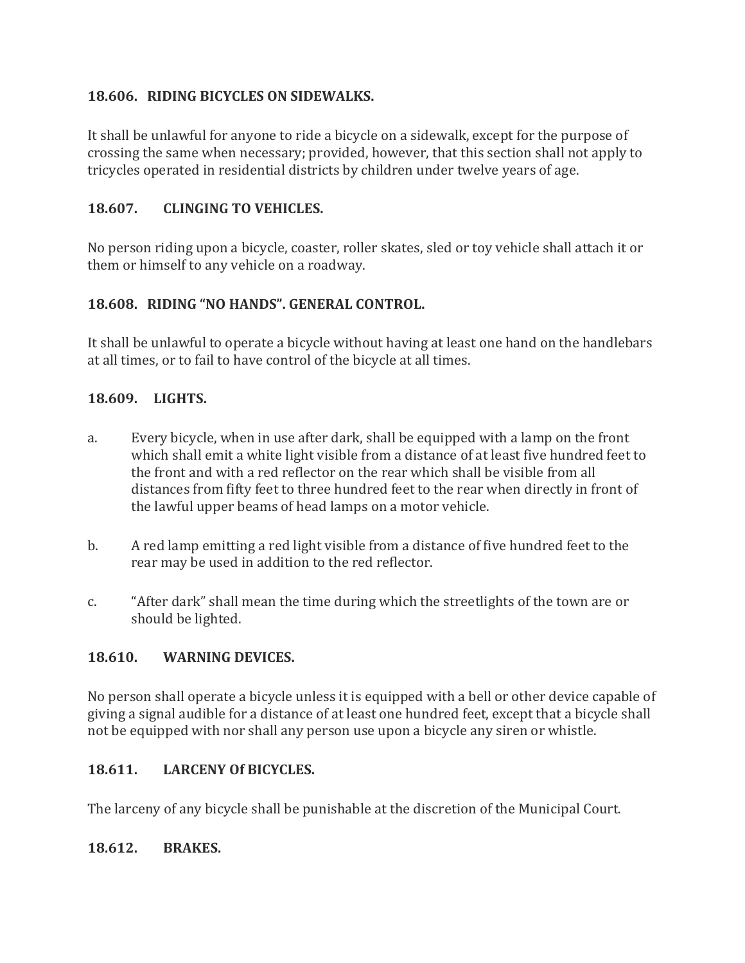#### **18.606. RIDING BICYCLES ON SIDEWALKS.**

It shall be unlawful for anyone to ride a bicycle on a sidewalk, except for the purpose of crossing the same when necessary; provided, however, that this section shall not apply to tricycles operated in residential districts by children under twelve years of age.

#### **18.607. CLINGING TO VEHICLES.**

No person riding upon a bicycle, coaster, roller skates, sled or toy vehicle shall attach it or them or himself to any vehicle on a roadway.

#### **18.608. RIDING "NO HANDS". GENERAL CONTROL.**

It shall be unlawful to operate a bicycle without having at least one hand on the handlebars at all times, or to fail to have control of the bicycle at all times.

#### **18.609. LIGHTS.**

- a. Every bicycle, when in use after dark, shall be equipped with a lamp on the front which shall emit a white light visible from a distance of at least five hundred feet to the front and with a red reflector on the rear which shall be visible from all distances from fifty feet to three hundred feet to the rear when directly in front of the lawful upper beams of head lamps on a motor vehicle.
- b. A red lamp emitting a red light visible from a distance of five hundred feet to the rear may be used in addition to the red reflector.
- c. "After dark" shall mean the time during which the streetlights of the town are or should be lighted.

#### **18.610. WARNING DEVICES.**

No person shall operate a bicycle unless it is equipped with a bell or other device capable of giving a signal audible for a distance of at least one hundred feet, except that a bicycle shall not be equipped with nor shall any person use upon a bicycle any siren or whistle.

#### **18.611. LARCENY Of BICYCLES.**

The larceny of any bicycle shall be punishable at the discretion of the Municipal Court.

#### **18.612. BRAKES.**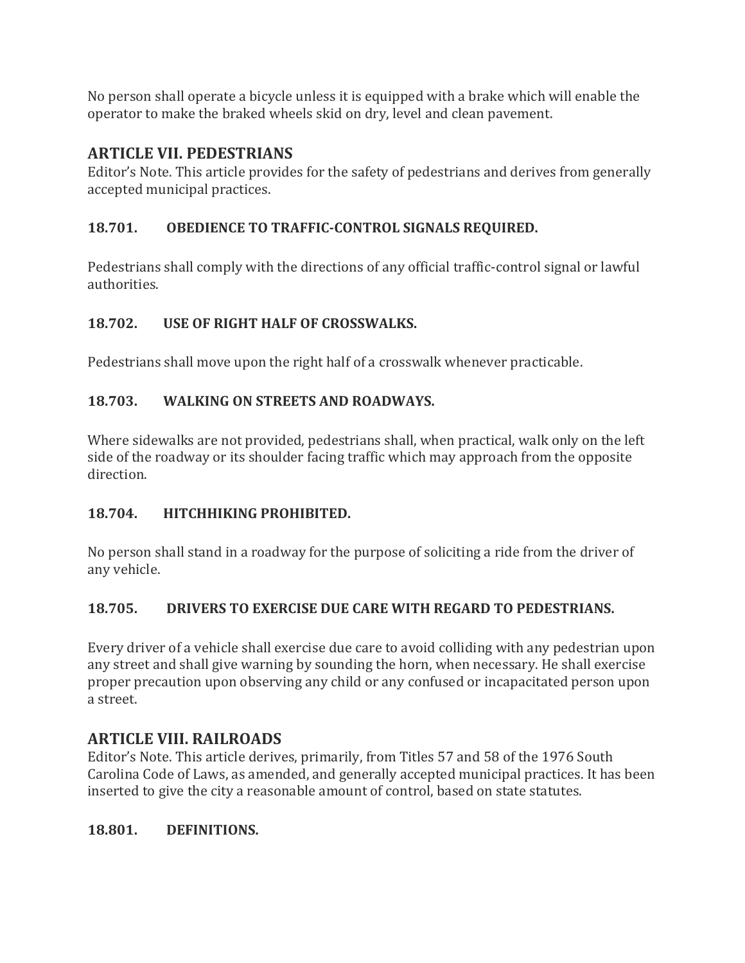No person shall operate a bicycle unless it is equipped with a brake which will enable the operator to make the braked wheels skid on dry, level and clean pavement.

## **ARTICLE VII. PEDESTRIANS**

Editor's Note. This article provides for the safety of pedestrians and derives from generally accepted municipal practices.

## **18.701. OBEDIENCE TO TRAFFIC-CONTROL SIGNALS REQUIRED.**

Pedestrians shall comply with the directions of any official traffic-control signal or lawful authorities.

#### **18.702. USE OF RIGHT HALF OF CROSSWALKS.**

Pedestrians shall move upon the right half of a crosswalk whenever practicable.

## **18.703. WALKING ON STREETS AND ROADWAYS.**

Where sidewalks are not provided, pedestrians shall, when practical, walk only on the left side of the roadway or its shoulder facing traffic which may approach from the opposite direction.

#### **18.704. HITCHHIKING PROHIBITED.**

No person shall stand in a roadway for the purpose of soliciting a ride from the driver of any vehicle.

## **18.705. DRIVERS TO EXERCISE DUE CARE WITH REGARD TO PEDESTRIANS.**

Every driver of a vehicle shall exercise due care to avoid colliding with any pedestrian upon any street and shall give warning by sounding the horn, when necessary. He shall exercise proper precaution upon observing any child or any confused or incapacitated person upon a street.

## **ARTICLE VIII. RAILROADS**

Editor's Note. This article derives, primarily, from Titles 57 and 58 of the 1976 South Carolina Code of Laws, as amended, and generally accepted municipal practices. It has been inserted to give the city a reasonable amount of control, based on state statutes.

#### **18.801. DEFINITIONS.**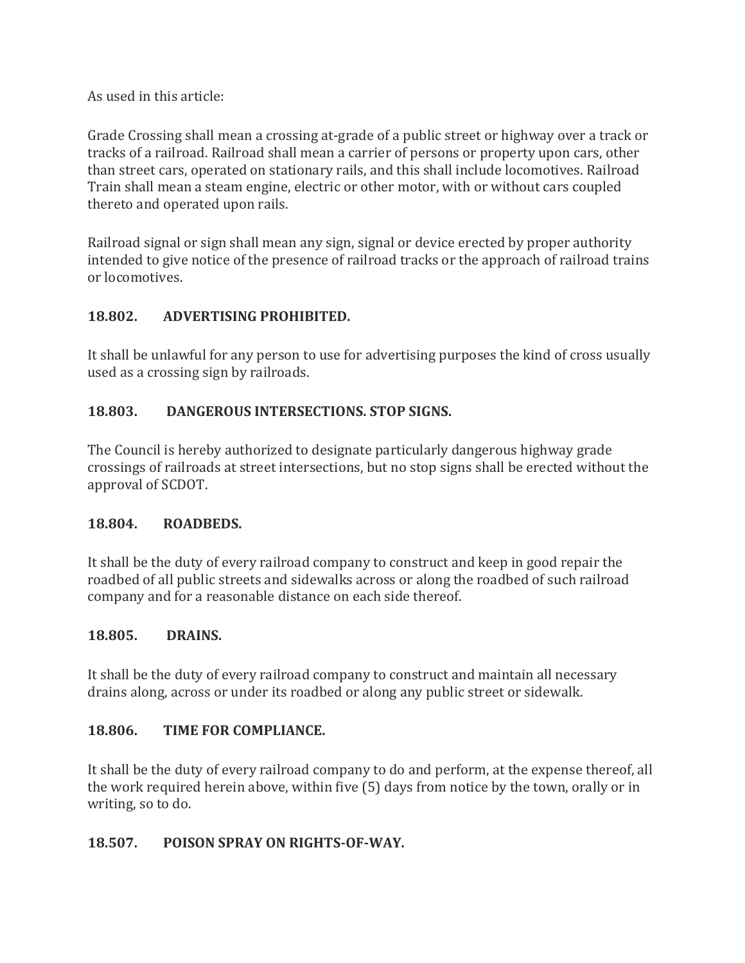As used in this article:

Grade Crossing shall mean a crossing at-grade of a public street or highway over a track or tracks of a railroad. Railroad shall mean a carrier of persons or property upon cars, other than street cars, operated on stationary rails, and this shall include locomotives. Railroad Train shall mean a steam engine, electric or other motor, with or without cars coupled thereto and operated upon rails.

Railroad signal or sign shall mean any sign, signal or device erected by proper authority intended to give notice of the presence of railroad tracks or the approach of railroad trains or locomotives.

#### **18.802. ADVERTISING PROHIBITED.**

It shall be unlawful for any person to use for advertising purposes the kind of cross usually used as a crossing sign by railroads.

#### **18.803. DANGEROUS INTERSECTIONS. STOP SIGNS.**

The Council is hereby authorized to designate particularly dangerous highway grade crossings of railroads at street intersections, but no stop signs shall be erected without the approval of SCDOT.

#### **18.804. ROADBEDS.**

It shall be the duty of every railroad company to construct and keep in good repair the roadbed of all public streets and sidewalks across or along the roadbed of such railroad company and for a reasonable distance on each side thereof.

#### **18.805. DRAINS.**

It shall be the duty of every railroad company to construct and maintain all necessary drains along, across or under its roadbed or along any public street or sidewalk.

#### **18.806. TIME FOR COMPLIANCE.**

It shall be the duty of every railroad company to do and perform, at the expense thereof, all the work required herein above, within five (5) days from notice by the town, orally or in writing, so to do.

#### **18.507. POISON SPRAY ON RIGHTS-OF-WAY.**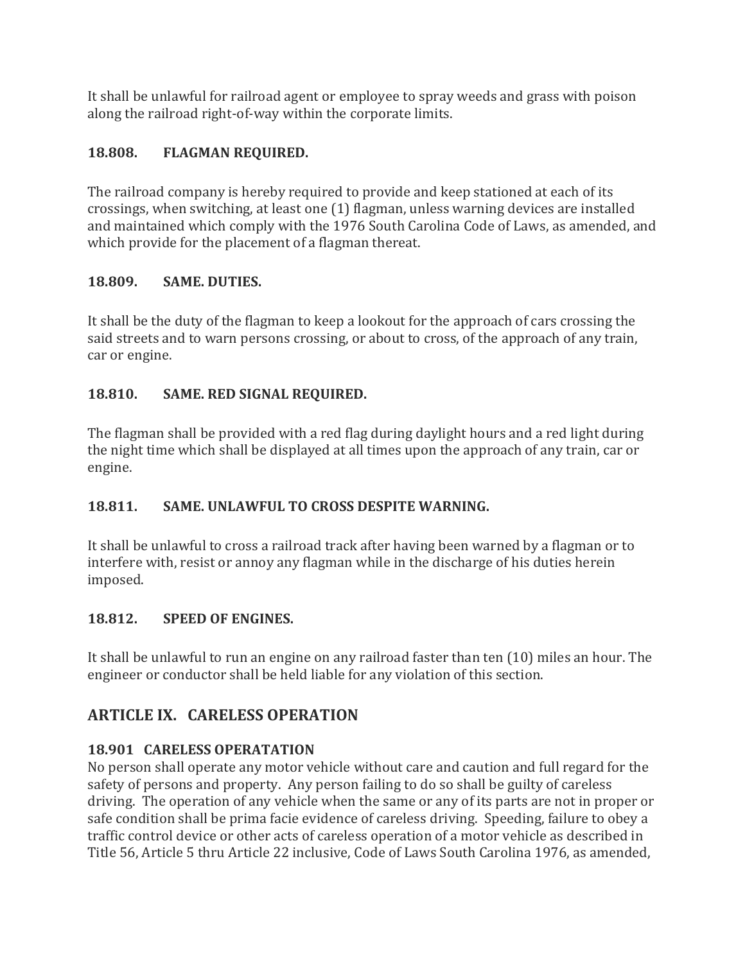It shall be unlawful for railroad agent or employee to spray weeds and grass with poison along the railroad right-of-way within the corporate limits.

## **18.808. FLAGMAN REQUIRED.**

The railroad company is hereby required to provide and keep stationed at each of its crossings, when switching, at least one (1) flagman, unless warning devices are installed and maintained which comply with the 1976 South Carolina Code of Laws, as amended, and which provide for the placement of a flagman thereat.

#### **18.809. SAME. DUTIES.**

It shall be the duty of the flagman to keep a lookout for the approach of cars crossing the said streets and to warn persons crossing, or about to cross, of the approach of any train, car or engine.

## **18.810. SAME. RED SIGNAL REQUIRED.**

The flagman shall be provided with a red flag during daylight hours and a red light during the night time which shall be displayed at all times upon the approach of any train, car or engine.

## **18.811. SAME. UNLAWFUL TO CROSS DESPITE WARNING.**

It shall be unlawful to cross a railroad track after having been warned by a flagman or to interfere with, resist or annoy any flagman while in the discharge of his duties herein imposed.

## **18.812. SPEED OF ENGINES.**

It shall be unlawful to run an engine on any railroad faster than ten (10) miles an hour. The engineer or conductor shall be held liable for any violation of this section.

## **ARTICLE IX. CARELESS OPERATION**

## **18.901 CARELESS OPERATATION**

No person shall operate any motor vehicle without care and caution and full regard for the safety of persons and property. Any person failing to do so shall be guilty of careless driving. The operation of any vehicle when the same or any of its parts are not in proper or safe condition shall be prima facie evidence of careless driving. Speeding, failure to obey a traffic control device or other acts of careless operation of a motor vehicle as described in Title 56, Article 5 thru Article 22 inclusive, Code of Laws South Carolina 1976, as amended,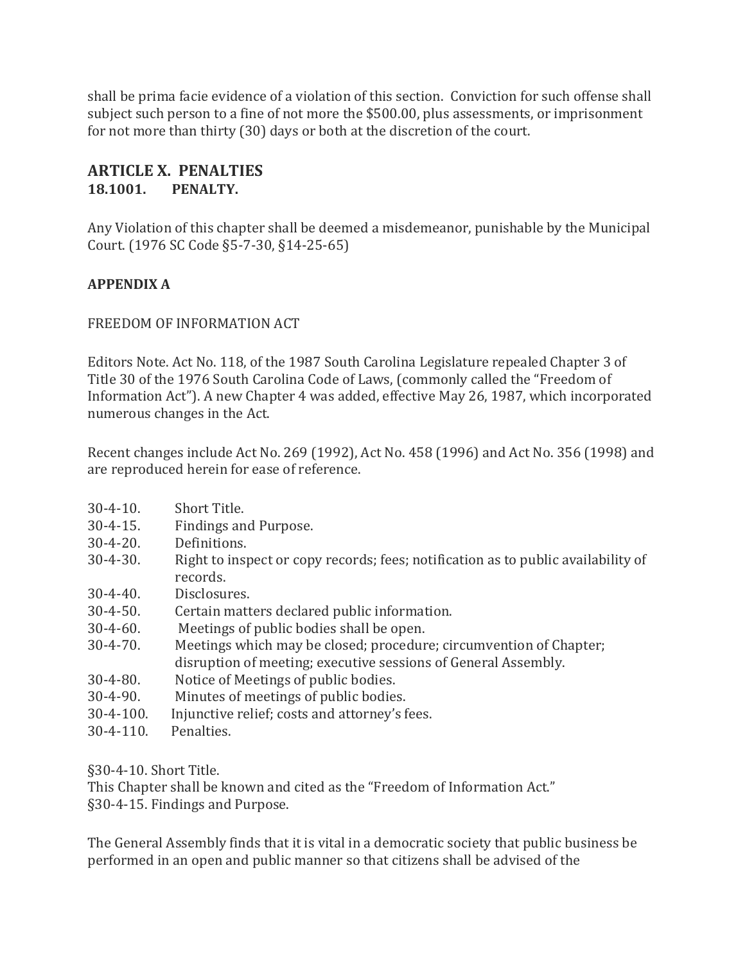shall be prima facie evidence of a violation of this section. Conviction for such offense shall subject such person to a fine of not more the \$500.00, plus assessments, or imprisonment for not more than thirty (30) days or both at the discretion of the court.

#### **ARTICLE X. PENALTIES 18.1001. PENALTY.**

Any Violation of this chapter shall be deemed a misdemeanor, punishable by the Municipal Court. (1976 SC Code §5-7-30, §14-25-65)

#### **APPENDIX A**

#### FREEDOM OF INFORMATION ACT

Editors Note. Act No. 118, of the 1987 South Carolina Legislature repealed Chapter 3 of Title 30 of the 1976 South Carolina Code of Laws, (commonly called the "Freedom of Information Act"). A new Chapter 4 was added, effective May 26, 1987, which incorporated numerous changes in the Act.

Recent changes include Act No. 269 (1992), Act No. 458 (1996) and Act No. 356 (1998) and are reproduced herein for ease of reference.

- 30-4-10. Short Title.
- 30-4-15. Findings and Purpose.
- 30-4-20. Definitions.
- 30-4-30. Right to inspect or copy records; fees; notification as to public availability of records.
- 30-4-40. Disclosures.
- 30-4-50. Certain matters declared public information.
- 30-4-60. Meetings of public bodies shall be open.
- 30-4-70. Meetings which may be closed; procedure; circumvention of Chapter; disruption of meeting; executive sessions of General Assembly.
- 30-4-80. Notice of Meetings of public bodies.
- 30-4-90. Minutes of meetings of public bodies.
- 30-4-100. Injunctive relief; costs and attorney's fees.
- 30-4-110. Penalties.

§30-4-10. Short Title.

This Chapter shall be known and cited as the "Freedom of Information Act." §30-4-15. Findings and Purpose.

The General Assembly finds that it is vital in a democratic society that public business be performed in an open and public manner so that citizens shall be advised of the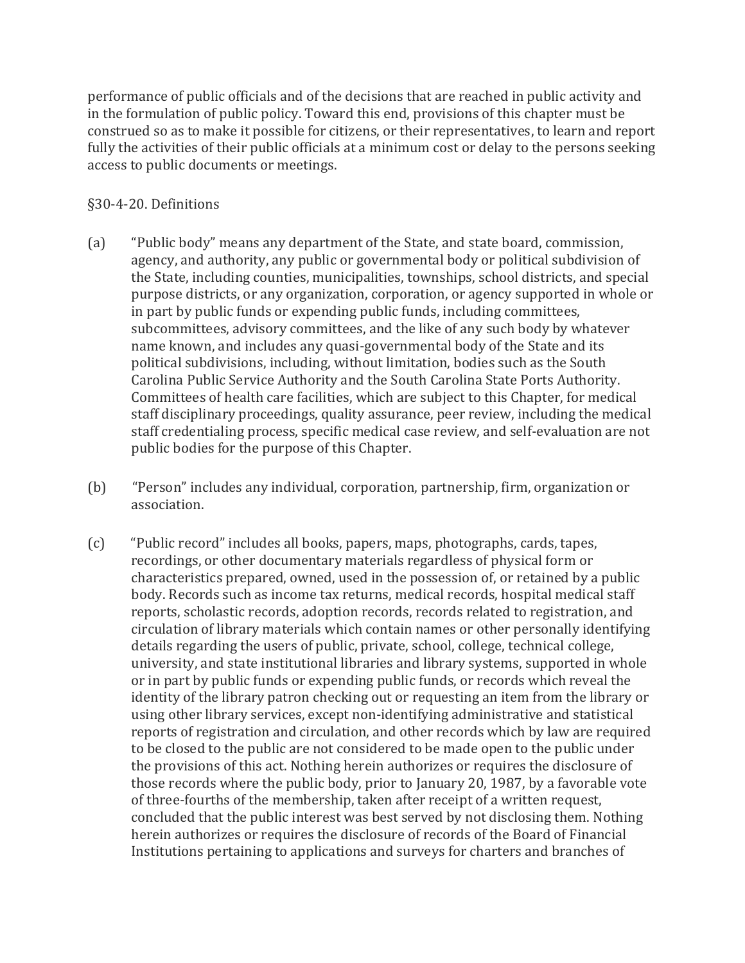performance of public officials and of the decisions that are reached in public activity and in the formulation of public policy. Toward this end, provisions of this chapter must be construed so as to make it possible for citizens, or their representatives, to learn and report fully the activities of their public officials at a minimum cost or delay to the persons seeking access to public documents or meetings.

#### §30-4-20. Definitions

- (a) "Public body" means any department of the State, and state board, commission, agency, and authority, any public or governmental body or political subdivision of the State, including counties, municipalities, townships, school districts, and special purpose districts, or any organization, corporation, or agency supported in whole or in part by public funds or expending public funds, including committees, subcommittees, advisory committees, and the like of any such body by whatever name known, and includes any quasi-governmental body of the State and its political subdivisions, including, without limitation, bodies such as the South Carolina Public Service Authority and the South Carolina State Ports Authority. Committees of health care facilities, which are subject to this Chapter, for medical staff disciplinary proceedings, quality assurance, peer review, including the medical staff credentialing process, specific medical case review, and self-evaluation are not public bodies for the purpose of this Chapter.
- (b) "Person" includes any individual, corporation, partnership, firm, organization or association.
- (c) "Public record" includes all books, papers, maps, photographs, cards, tapes, recordings, or other documentary materials regardless of physical form or characteristics prepared, owned, used in the possession of, or retained by a public body. Records such as income tax returns, medical records, hospital medical staff reports, scholastic records, adoption records, records related to registration, and circulation of library materials which contain names or other personally identifying details regarding the users of public, private, school, college, technical college, university, and state institutional libraries and library systems, supported in whole or in part by public funds or expending public funds, or records which reveal the identity of the library patron checking out or requesting an item from the library or using other library services, except non-identifying administrative and statistical reports of registration and circulation, and other records which by law are required to be closed to the public are not considered to be made open to the public under the provisions of this act. Nothing herein authorizes or requires the disclosure of those records where the public body, prior to January 20, 1987, by a favorable vote of three-fourths of the membership, taken after receipt of a written request, concluded that the public interest was best served by not disclosing them. Nothing herein authorizes or requires the disclosure of records of the Board of Financial Institutions pertaining to applications and surveys for charters and branches of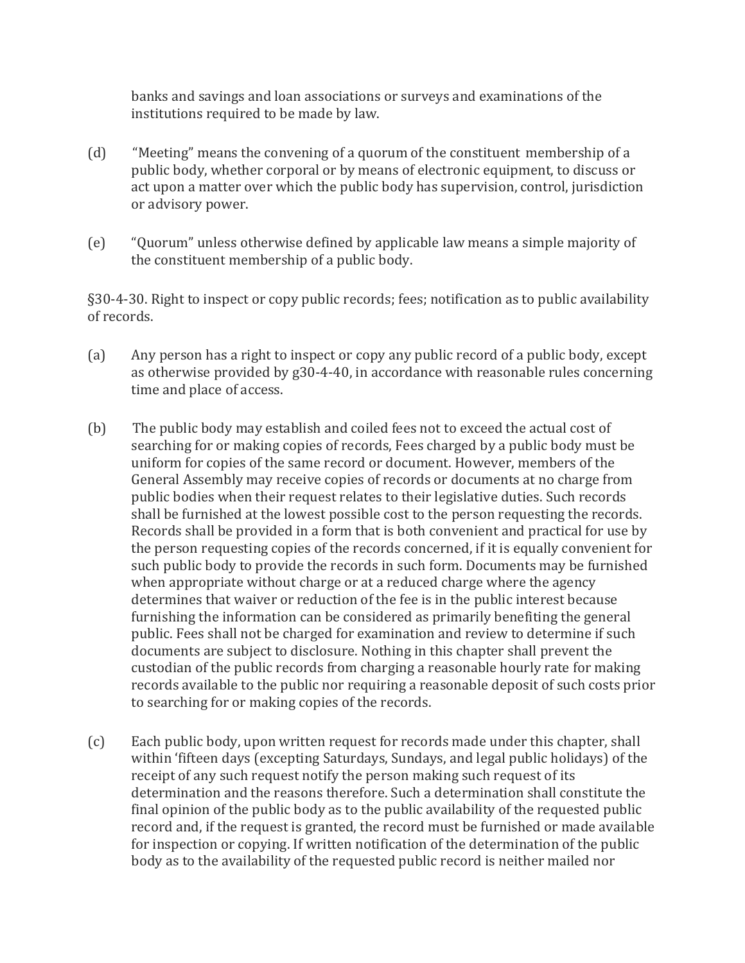banks and savings and loan associations or surveys and examinations of the institutions required to be made by law.

- (d) "Meeting" means the convening of a quorum of the constituent membership of a public body, whether corporal or by means of electronic equipment, to discuss or act upon a matter over which the public body has supervision, control, jurisdiction or advisory power.
- (e) "Quorum" unless otherwise defined by applicable law means a simple majority of the constituent membership of a public body.

§30-4-30. Right to inspect or copy public records; fees; notification as to public availability of records.

- (a) Any person has a right to inspect or copy any public record of a public body, except as otherwise provided by g30-4-40, in accordance with reasonable rules concerning time and place of access.
- (b) The public body may establish and coiled fees not to exceed the actual cost of searching for or making copies of records, Fees charged by a public body must be uniform for copies of the same record or document. However, members of the General Assembly may receive copies of records or documents at no charge from public bodies when their request relates to their legislative duties. Such records shall be furnished at the lowest possible cost to the person requesting the records. Records shall be provided in a form that is both convenient and practical for use by the person requesting copies of the records concerned, if it is equally convenient for such public body to provide the records in such form. Documents may be furnished when appropriate without charge or at a reduced charge where the agency determines that waiver or reduction of the fee is in the public interest because furnishing the information can be considered as primarily benefiting the general public. Fees shall not be charged for examination and review to determine if such documents are subject to disclosure. Nothing in this chapter shall prevent the custodian of the public records from charging a reasonable hourly rate for making records available to the public nor requiring a reasonable deposit of such costs prior to searching for or making copies of the records.
- (c) Each public body, upon written request for records made under this chapter, shall within 'fifteen days (excepting Saturdays, Sundays, and legal public holidays) of the receipt of any such request notify the person making such request of its determination and the reasons therefore. Such a determination shall constitute the final opinion of the public body as to the public availability of the requested public record and, if the request is granted, the record must be furnished or made available for inspection or copying. If written notification of the determination of the public body as to the availability of the requested public record is neither mailed nor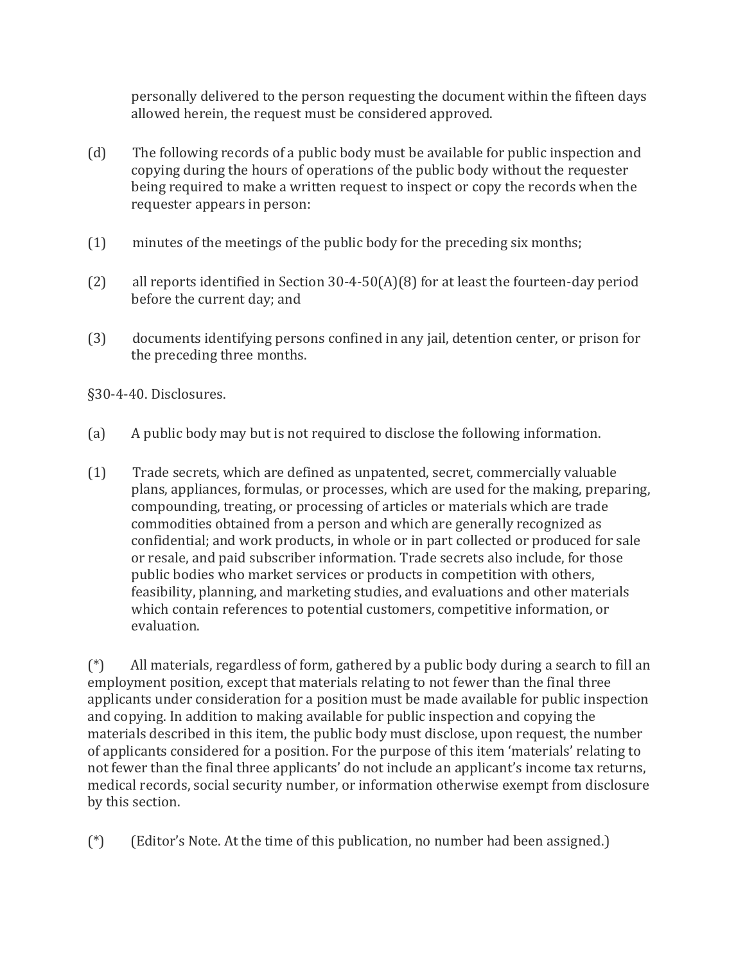personally delivered to the person requesting the document within the fifteen days allowed herein, the request must be considered approved.

- (d) The following records of a public body must be available for public inspection and copying during the hours of operations of the public body without the requester being required to make a written request to inspect or copy the records when the requester appears in person:
- (1) minutes of the meetings of the public body for the preceding six months;
- (2) all reports identified in Section 30-4-50(A)(8) for at least the fourteen-day period before the current day; and
- (3) documents identifying persons confined in any jail, detention center, or prison for the preceding three months.

§30-4-40. Disclosures.

- (a) A public body may but is not required to disclose the following information.
- (1) Trade secrets, which are defined as unpatented, secret, commercially valuable plans, appliances, formulas, or processes, which are used for the making, preparing, compounding, treating, or processing of articles or materials which are trade commodities obtained from a person and which are generally recognized as confidential; and work products, in whole or in part collected or produced for sale or resale, and paid subscriber information. Trade secrets also include, for those public bodies who market services or products in competition with others, feasibility, planning, and marketing studies, and evaluations and other materials which contain references to potential customers, competitive information, or evaluation.

(\*) All materials, regardless of form, gathered by a public body during a search to fill an employment position, except that materials relating to not fewer than the final three applicants under consideration for a position must be made available for public inspection and copying. In addition to making available for public inspection and copying the materials described in this item, the public body must disclose, upon request, the number of applicants considered for a position. For the purpose of this item 'materials' relating to not fewer than the final three applicants' do not include an applicant's income tax returns, medical records, social security number, or information otherwise exempt from disclosure by this section.

(\*) (Editor's Note. At the time of this publication, no number had been assigned.)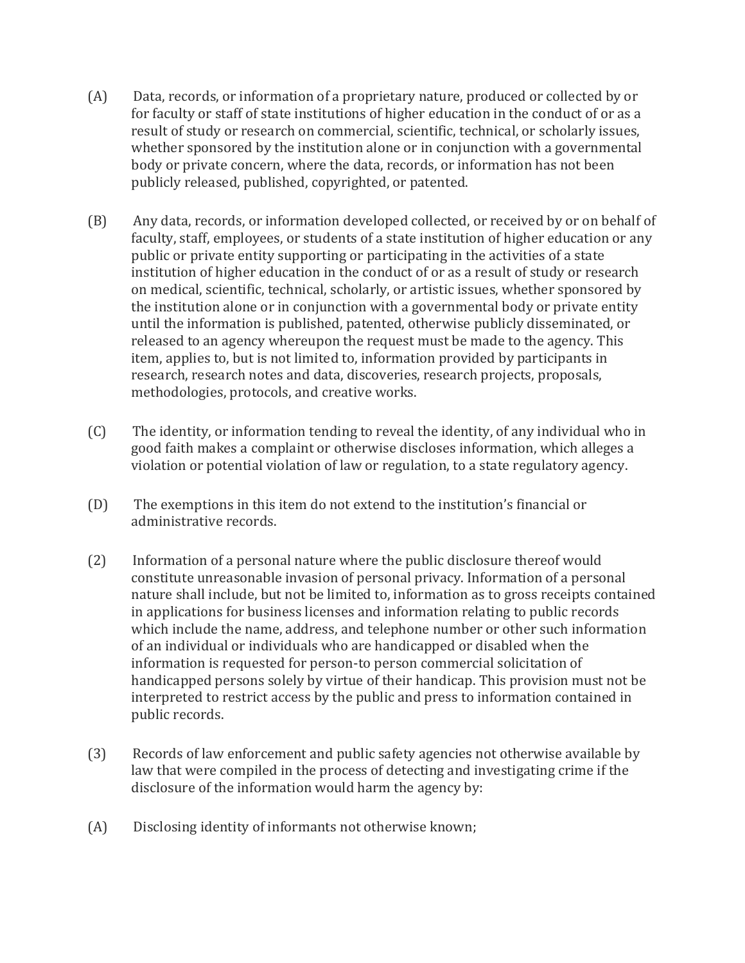- (A) Data, records, or information of a proprietary nature, produced or collected by or for faculty or staff of state institutions of higher education in the conduct of or as a result of study or research on commercial, scientific, technical, or scholarly issues, whether sponsored by the institution alone or in conjunction with a governmental body or private concern, where the data, records, or information has not been publicly released, published, copyrighted, or patented.
- (B) Any data, records, or information developed collected, or received by or on behalf of faculty, staff, employees, or students of a state institution of higher education or any public or private entity supporting or participating in the activities of a state institution of higher education in the conduct of or as a result of study or research on medical, scientific, technical, scholarly, or artistic issues, whether sponsored by the institution alone or in conjunction with a governmental body or private entity until the information is published, patented, otherwise publicly disseminated, or released to an agency whereupon the request must be made to the agency. This item, applies to, but is not limited to, information provided by participants in research, research notes and data, discoveries, research projects, proposals, methodologies, protocols, and creative works.
- (C) The identity, or information tending to reveal the identity, of any individual who in good faith makes a complaint or otherwise discloses information, which alleges a violation or potential violation of law or regulation, to a state regulatory agency.
- (D) The exemptions in this item do not extend to the institution's financial or administrative records.
- (2) Information of a personal nature where the public disclosure thereof would constitute unreasonable invasion of personal privacy. Information of a personal nature shall include, but not be limited to, information as to gross receipts contained in applications for business licenses and information relating to public records which include the name, address, and telephone number or other such information of an individual or individuals who are handicapped or disabled when the information is requested for person-to person commercial solicitation of handicapped persons solely by virtue of their handicap. This provision must not be interpreted to restrict access by the public and press to information contained in public records.
- (3) Records of law enforcement and public safety agencies not otherwise available by law that were compiled in the process of detecting and investigating crime if the disclosure of the information would harm the agency by:
- (A) Disclosing identity of informants not otherwise known;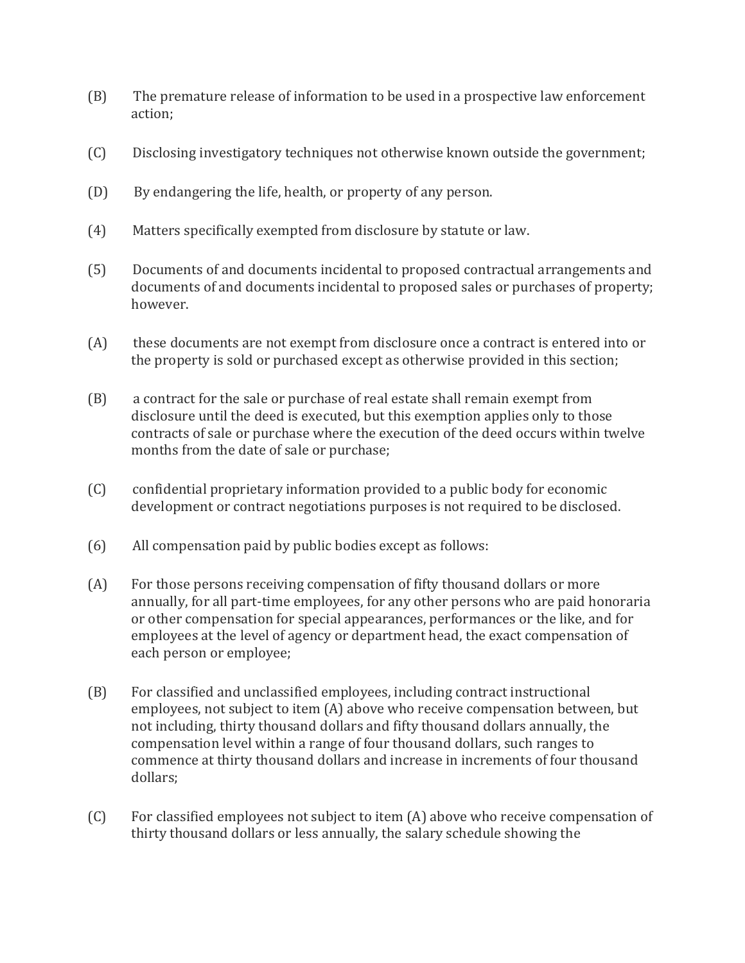- (B) The premature release of information to be used in a prospective law enforcement action;
- (C) Disclosing investigatory techniques not otherwise known outside the government;
- (D) By endangering the life, health, or property of any person.
- (4) Matters specifically exempted from disclosure by statute or law.
- (5) Documents of and documents incidental to proposed contractual arrangements and documents of and documents incidental to proposed sales or purchases of property; however.
- (A) these documents are not exempt from disclosure once a contract is entered into or the property is sold or purchased except as otherwise provided in this section;
- (B) a contract for the sale or purchase of real estate shall remain exempt from disclosure until the deed is executed, but this exemption applies only to those contracts of sale or purchase where the execution of the deed occurs within twelve months from the date of sale or purchase;
- (C) confidential proprietary information provided to a public body for economic development or contract negotiations purposes is not required to be disclosed.
- (6) All compensation paid by public bodies except as follows:
- (A) For those persons receiving compensation of fifty thousand dollars or more annually, for all part-time employees, for any other persons who are paid honoraria or other compensation for special appearances, performances or the like, and for employees at the level of agency or department head, the exact compensation of each person or employee;
- (B) For classified and unclassified employees, including contract instructional employees, not subject to item (A) above who receive compensation between, but not including, thirty thousand dollars and fifty thousand dollars annually, the compensation level within a range of four thousand dollars, such ranges to commence at thirty thousand dollars and increase in increments of four thousand dollars;
- (C) For classified employees not subject to item (A) above who receive compensation of thirty thousand dollars or less annually, the salary schedule showing the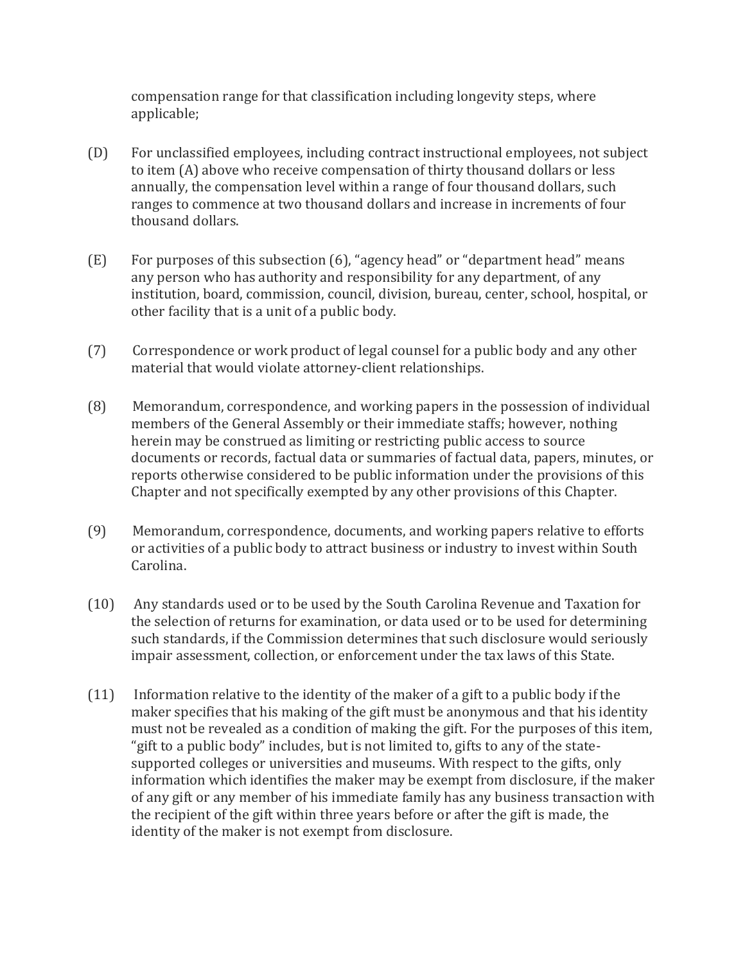compensation range for that classification including longevity steps, where applicable;

- (D) For unclassified employees, including contract instructional employees, not subject to item (A) above who receive compensation of thirty thousand dollars or less annually, the compensation level within a range of four thousand dollars, such ranges to commence at two thousand dollars and increase in increments of four thousand dollars.
- (E) For purposes of this subsection (6), "agency head" or "department head" means any person who has authority and responsibility for any department, of any institution, board, commission, council, division, bureau, center, school, hospital, or other facility that is a unit of a public body.
- (7) Correspondence or work product of legal counsel for a public body and any other material that would violate attorney-client relationships.
- (8) Memorandum, correspondence, and working papers in the possession of individual members of the General Assembly or their immediate staffs; however, nothing herein may be construed as limiting or restricting public access to source documents or records, factual data or summaries of factual data, papers, minutes, or reports otherwise considered to be public information under the provisions of this Chapter and not specifically exempted by any other provisions of this Chapter.
- (9) Memorandum, correspondence, documents, and working papers relative to efforts or activities of a public body to attract business or industry to invest within South Carolina.
- (10) Any standards used or to be used by the South Carolina Revenue and Taxation for the selection of returns for examination, or data used or to be used for determining such standards, if the Commission determines that such disclosure would seriously impair assessment, collection, or enforcement under the tax laws of this State.
- (11) Information relative to the identity of the maker of a gift to a public body if the maker specifies that his making of the gift must be anonymous and that his identity must not be revealed as a condition of making the gift. For the purposes of this item, "gift to a public body" includes, but is not limited to, gifts to any of the statesupported colleges or universities and museums. With respect to the gifts, only information which identifies the maker may be exempt from disclosure, if the maker of any gift or any member of his immediate family has any business transaction with the recipient of the gift within three years before or after the gift is made, the identity of the maker is not exempt from disclosure.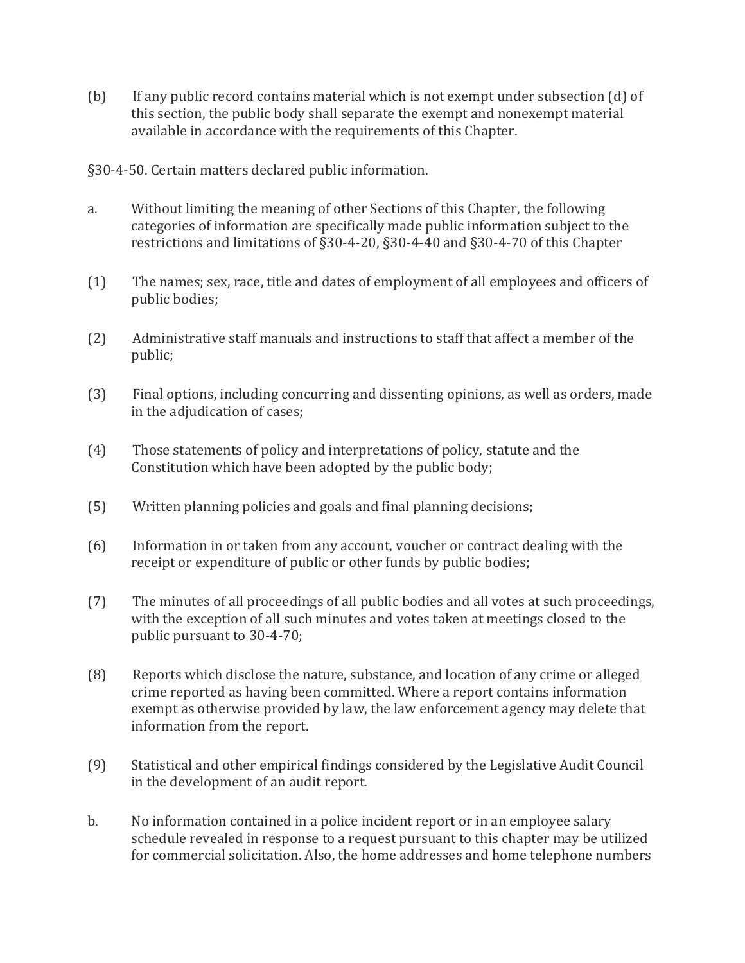(b) If any public record contains material which is not exempt under subsection (d) of this section, the public body shall separate the exempt and nonexempt material available in accordance with the requirements of this Chapter.

§30-4-50. Certain matters declared public information.

- a. Without limiting the meaning of other Sections of this Chapter, the following categories of information are specifically made public information subject to the restrictions and limitations of §30-4-20, §30-4-40 and §30-4-70 of this Chapter
- (1) The names; sex, race, title and dates of employment of all employees and officers of public bodies;
- (2) Administrative staff manuals and instructions to staff that affect a member of the public;
- (3) Final options, including concurring and dissenting opinions, as well as orders, made in the adjudication of cases;
- (4) Those statements of policy and interpretations of policy, statute and the Constitution which have been adopted by the public body;
- (5) Written planning policies and goals and final planning decisions;
- (6) Information in or taken from any account, voucher or contract dealing with the receipt or expenditure of public or other funds by public bodies;
- (7) The minutes of all proceedings of all public bodies and all votes at such proceedings, with the exception of all such minutes and votes taken at meetings closed to the public pursuant to 30-4-70;
- (8) Reports which disclose the nature, substance, and location of any crime or alleged crime reported as having been committed. Where a report contains information exempt as otherwise provided by law, the law enforcement agency may delete that information from the report.
- (9) Statistical and other empirical findings considered by the Legislative Audit Council in the development of an audit report.
- b. No information contained in a police incident report or in an employee salary schedule revealed in response to a request pursuant to this chapter may be utilized for commercial solicitation. Also, the home addresses and home telephone numbers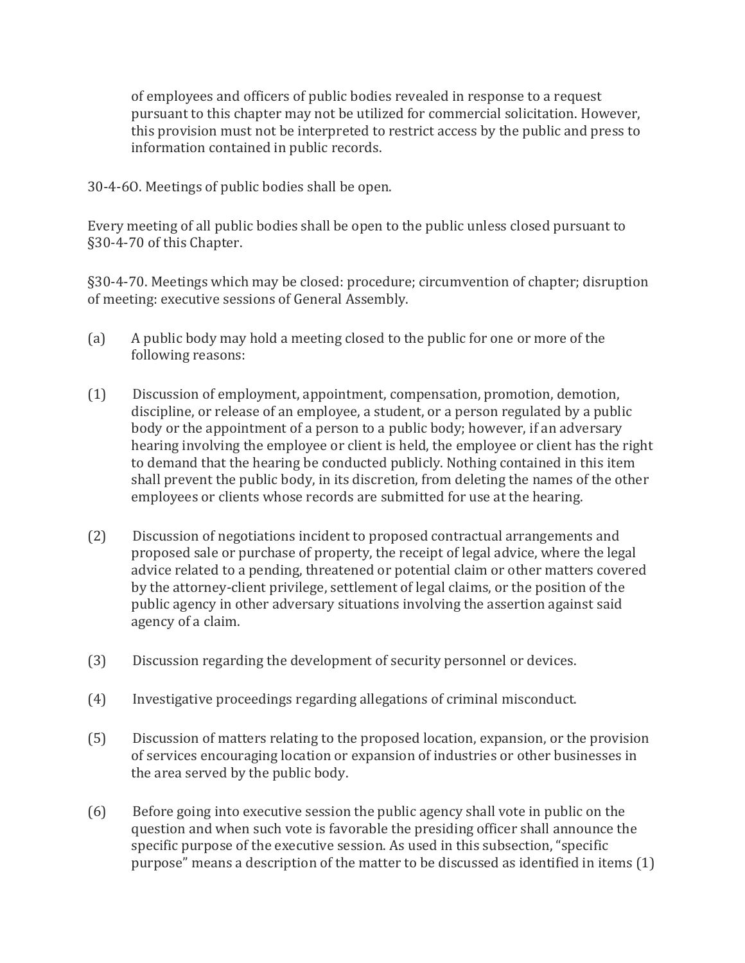of employees and officers of public bodies revealed in response to a request pursuant to this chapter may not be utilized for commercial solicitation. However, this provision must not be interpreted to restrict access by the public and press to information contained in public records.

30-4-6O. Meetings of public bodies shall be open.

Every meeting of all public bodies shall be open to the public unless closed pursuant to §30-4-70 of this Chapter.

§30-4-70. Meetings which may be closed: procedure; circumvention of chapter; disruption of meeting: executive sessions of General Assembly.

- (a) A public body may hold a meeting closed to the public for one or more of the following reasons:
- (1) Discussion of employment, appointment, compensation, promotion, demotion, discipline, or release of an employee, a student, or a person regulated by a public body or the appointment of a person to a public body; however, if an adversary hearing involving the employee or client is held, the employee or client has the right to demand that the hearing be conducted publicly. Nothing contained in this item shall prevent the public body, in its discretion, from deleting the names of the other employees or clients whose records are submitted for use at the hearing.
- (2) Discussion of negotiations incident to proposed contractual arrangements and proposed sale or purchase of property, the receipt of legal advice, where the legal advice related to a pending, threatened or potential claim or other matters covered by the attorney-client privilege, settlement of legal claims, or the position of the public agency in other adversary situations involving the assertion against said agency of a claim.
- (3) Discussion regarding the development of security personnel or devices.
- (4) Investigative proceedings regarding allegations of criminal misconduct.
- (5) Discussion of matters relating to the proposed location, expansion, or the provision of services encouraging location or expansion of industries or other businesses in the area served by the public body.
- (6) Before going into executive session the public agency shall vote in public on the question and when such vote is favorable the presiding officer shall announce the specific purpose of the executive session. As used in this subsection, "specific purpose" means a description of the matter to be discussed as identified in items (1)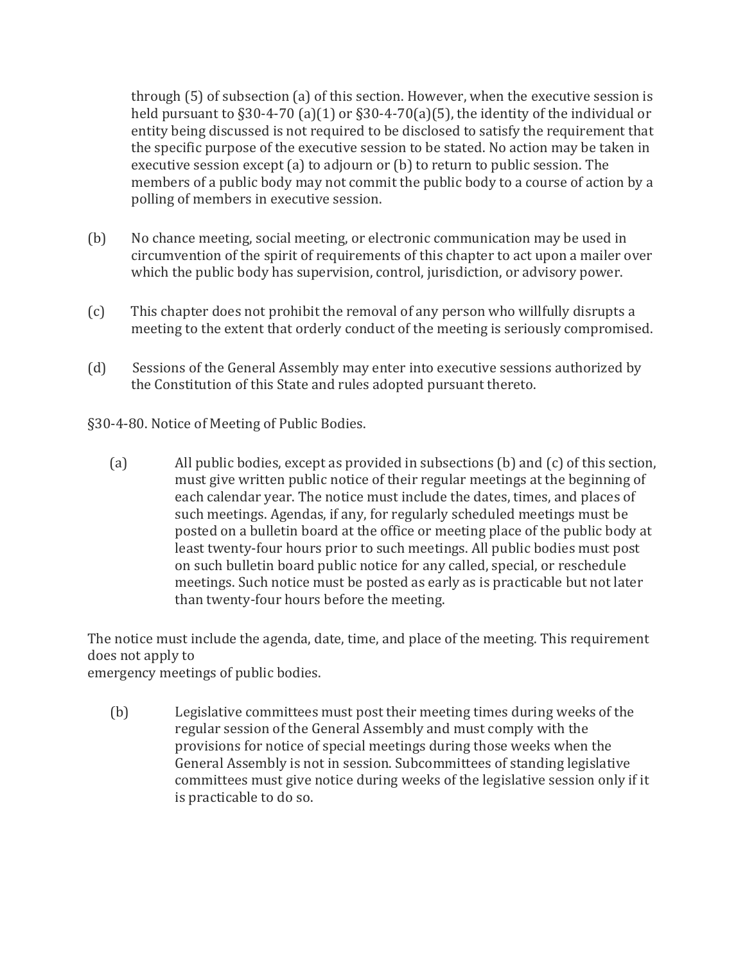through (5) of subsection (a) of this section. However, when the executive session is held pursuant to §30-4-70 (a)(1) or §30-4-70(a)(5), the identity of the individual or entity being discussed is not required to be disclosed to satisfy the requirement that the specific purpose of the executive session to be stated. No action may be taken in executive session except (a) to adjourn or (b) to return to public session. The members of a public body may not commit the public body to a course of action by a polling of members in executive session.

- (b) No chance meeting, social meeting, or electronic communication may be used in circumvention of the spirit of requirements of this chapter to act upon a mailer over which the public body has supervision, control, jurisdiction, or advisory power.
- (c) This chapter does not prohibit the removal of any person who willfully disrupts a meeting to the extent that orderly conduct of the meeting is seriously compromised.
- (d) Sessions of the General Assembly may enter into executive sessions authorized by the Constitution of this State and rules adopted pursuant thereto.

§30-4-80. Notice of Meeting of Public Bodies.

(a) All public bodies, except as provided in subsections (b) and (c) of this section, must give written public notice of their regular meetings at the beginning of each calendar year. The notice must include the dates, times, and places of such meetings. Agendas, if any, for regularly scheduled meetings must be posted on a bulletin board at the office or meeting place of the public body at least twenty-four hours prior to such meetings. All public bodies must post on such bulletin board public notice for any called, special, or reschedule meetings. Such notice must be posted as early as is practicable but not later than twenty-four hours before the meeting.

The notice must include the agenda, date, time, and place of the meeting. This requirement does not apply to

emergency meetings of public bodies.

 (b) Legislative committees must post their meeting times during weeks of the regular session of the General Assembly and must comply with the provisions for notice of special meetings during those weeks when the General Assembly is not in session. Subcommittees of standing legislative committees must give notice during weeks of the legislative session only if it is practicable to do so.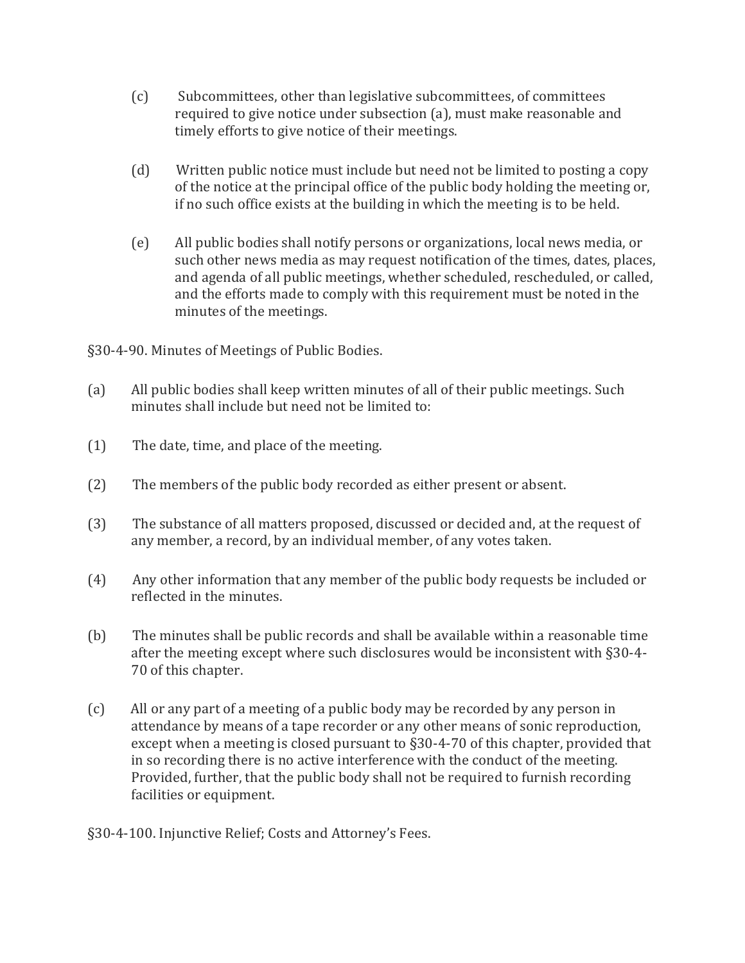- (c) Subcommittees, other than legislative subcommittees, of committees required to give notice under subsection (a), must make reasonable and timely efforts to give notice of their meetings.
- (d) Written public notice must include but need not be limited to posting a copy of the notice at the principal office of the public body holding the meeting or, if no such office exists at the building in which the meeting is to be held.
- (e) All public bodies shall notify persons or organizations, local news media, or such other news media as may request notification of the times, dates, places, and agenda of all public meetings, whether scheduled, rescheduled, or called, and the efforts made to comply with this requirement must be noted in the minutes of the meetings.

§30-4-90. Minutes of Meetings of Public Bodies.

- (a) All public bodies shall keep written minutes of all of their public meetings. Such minutes shall include but need not be limited to:
- (1) The date, time, and place of the meeting.
- (2) The members of the public body recorded as either present or absent.
- (3) The substance of all matters proposed, discussed or decided and, at the request of any member, a record, by an individual member, of any votes taken.
- (4) Any other information that any member of the public body requests be included or reflected in the minutes.
- (b) The minutes shall be public records and shall be available within a reasonable time after the meeting except where such disclosures would be inconsistent with §30-4- 70 of this chapter.
- (c) All or any part of a meeting of a public body may be recorded by any person in attendance by means of a tape recorder or any other means of sonic reproduction, except when a meeting is closed pursuant to §30-4-70 of this chapter, provided that in so recording there is no active interference with the conduct of the meeting. Provided, further, that the public body shall not be required to furnish recording facilities or equipment.
- §30-4-100. Injunctive Relief; Costs and Attorney's Fees.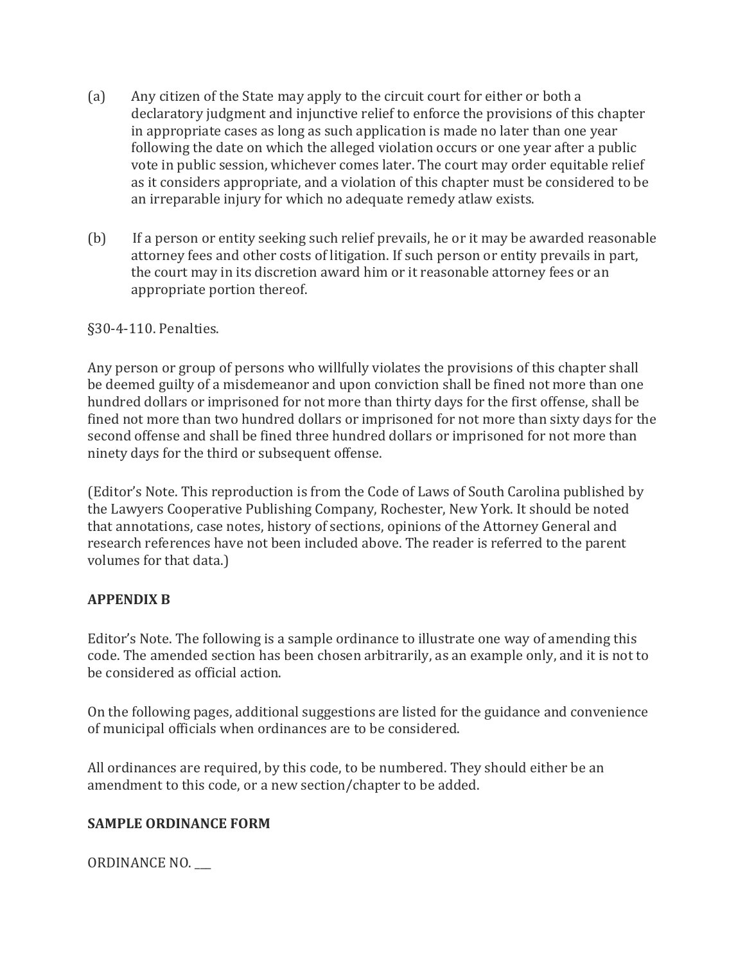- (a) Any citizen of the State may apply to the circuit court for either or both a declaratory judgment and injunctive relief to enforce the provisions of this chapter in appropriate cases as long as such application is made no later than one year following the date on which the alleged violation occurs or one year after a public vote in public session, whichever comes later. The court may order equitable relief as it considers appropriate, and a violation of this chapter must be considered to be an irreparable injury for which no adequate remedy atlaw exists.
- (b) If a person or entity seeking such relief prevails, he or it may be awarded reasonable attorney fees and other costs of litigation. If such person or entity prevails in part, the court may in its discretion award him or it reasonable attorney fees or an appropriate portion thereof.

#### §30-4-110. Penalties.

Any person or group of persons who willfully violates the provisions of this chapter shall be deemed guilty of a misdemeanor and upon conviction shall be fined not more than one hundred dollars or imprisoned for not more than thirty days for the first offense, shall be fined not more than two hundred dollars or imprisoned for not more than sixty days for the second offense and shall be fined three hundred dollars or imprisoned for not more than ninety days for the third or subsequent offense.

(Editor's Note. This reproduction is from the Code of Laws of South Carolina published by the Lawyers Cooperative Publishing Company, Rochester, New York. It should be noted that annotations, case notes, history of sections, opinions of the Attorney General and research references have not been included above. The reader is referred to the parent volumes for that data.)

#### **APPENDIX B**

Editor's Note. The following is a sample ordinance to illustrate one way of amending this code. The amended section has been chosen arbitrarily, as an example only, and it is not to be considered as official action.

On the following pages, additional suggestions are listed for the guidance and convenience of municipal officials when ordinances are to be considered.

All ordinances are required, by this code, to be numbered. They should either be an amendment to this code, or a new section/chapter to be added.

#### **SAMPLE ORDINANCE FORM**

ORDINANCE NO. \_\_\_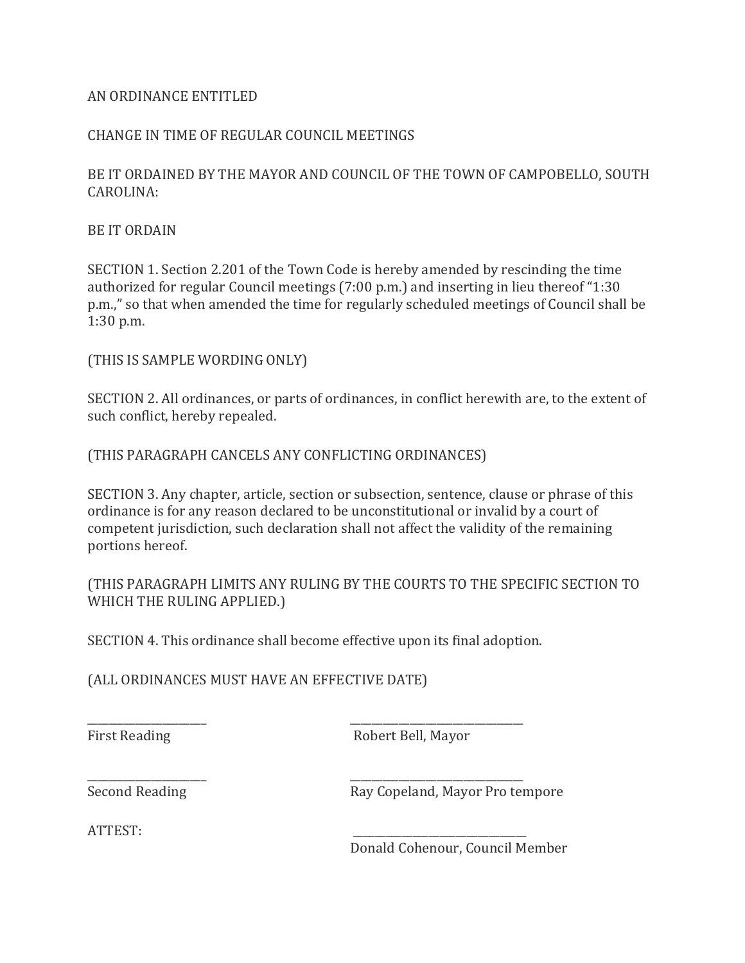#### AN ORDINANCE ENTITLED

#### CHANGE IN TIME OF REGULAR COUNCIL MEETINGS

BE IT ORDAINED BY THE MAYOR AND COUNCIL OF THE TOWN OF CAMPOBELLO, SOUTH CAROLINA:

BE IT ORDAIN

SECTION 1. Section 2.201 of the Town Code is hereby amended by rescinding the time authorized for regular Council meetings (7:00 p.m.) and inserting in lieu thereof "1:30 p.m.," so that when amended the time for regularly scheduled meetings of Council shall be 1:30 p.m.

(THIS IS SAMPLE WORDING ONLY)

SECTION 2. All ordinances, or parts of ordinances, in conflict herewith are, to the extent of such conflict, hereby repealed.

(THIS PARAGRAPH CANCELS ANY CONFLICTING ORDINANCES)

SECTION 3. Any chapter, article, section or subsection, sentence, clause or phrase of this ordinance is for any reason declared to be unconstitutional or invalid by a court of competent jurisdiction, such declaration shall not affect the validity of the remaining portions hereof.

(THIS PARAGRAPH LIMITS ANY RULING BY THE COURTS TO THE SPECIFIC SECTION TO WHICH THE RULING APPLIED.)

SECTION 4. This ordinance shall become effective upon its final adoption.

\_\_\_\_\_\_\_\_\_\_\_\_\_\_\_\_\_\_\_\_\_\_ \_\_\_\_\_\_\_\_\_\_\_\_\_\_\_\_\_\_\_\_\_\_\_\_\_\_\_\_\_\_\_\_

\_\_\_\_\_\_\_\_\_\_\_\_\_\_\_\_\_\_\_\_\_\_ \_\_\_\_\_\_\_\_\_\_\_\_\_\_\_\_\_\_\_\_\_\_\_\_\_\_\_\_\_\_\_\_

(ALL ORDINANCES MUST HAVE AN EFFECTIVE DATE)

First Reading **Robert Bell**, Mayor

Second Reading Ray Copeland, Mayor Pro tempore

ATTEST: \_\_\_\_\_\_\_\_\_\_\_\_\_\_\_\_\_\_\_\_\_\_\_\_\_\_\_\_\_\_\_\_

Donald Cohenour, Council Member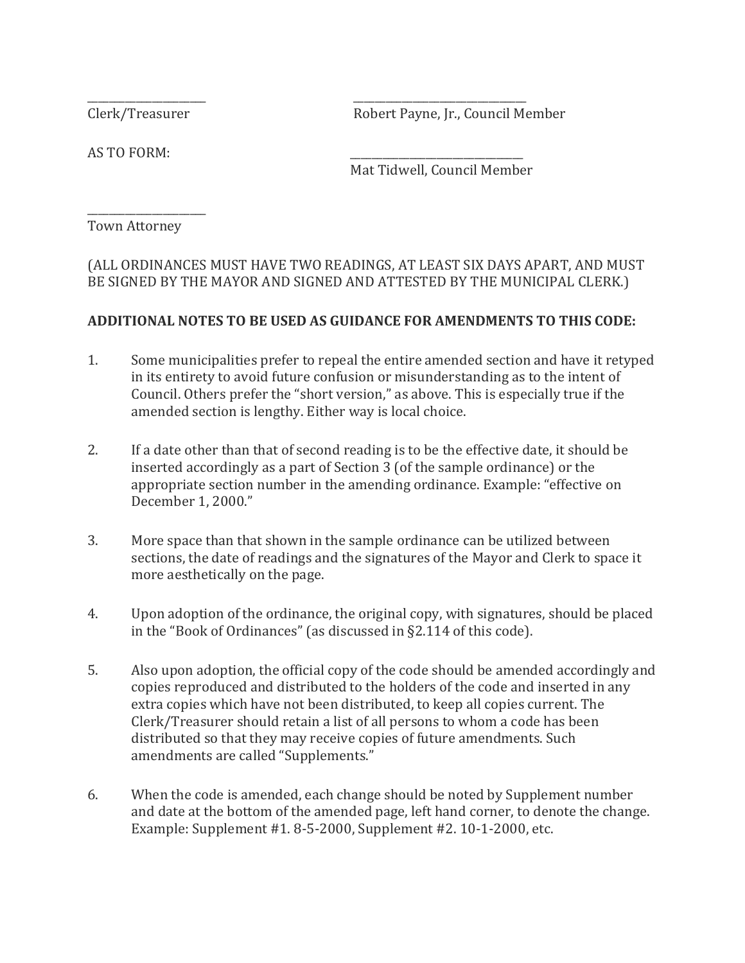Clerk/Treasurer Robert Payne, Jr., Council Member

AS TO FORM:

Mat Tidwell, Council Member

Town Attorney

\_\_\_\_\_\_\_\_\_\_\_\_\_\_\_\_\_\_\_\_\_\_

(ALL ORDINANCES MUST HAVE TWO READINGS, AT LEAST SIX DAYS APART, AND MUST BE SIGNED BY THE MAYOR AND SIGNED AND ATTESTED BY THE MUNICIPAL CLERK.)

\_\_\_\_\_\_\_\_\_\_\_\_\_\_\_\_\_\_\_\_\_\_ \_\_\_\_\_\_\_\_\_\_\_\_\_\_\_\_\_\_\_\_\_\_\_\_\_\_\_\_\_\_\_\_

#### **ADDITIONAL NOTES TO BE USED AS GUIDANCE FOR AMENDMENTS TO THIS CODE:**

- 1. Some municipalities prefer to repeal the entire amended section and have it retyped in its entirety to avoid future confusion or misunderstanding as to the intent of Council. Others prefer the "short version," as above. This is especially true if the amended section is lengthy. Either way is local choice.
- 2. If a date other than that of second reading is to be the effective date, it should be inserted accordingly as a part of Section 3 (of the sample ordinance) or the appropriate section number in the amending ordinance. Example: "effective on December 1, 2000."
- 3. More space than that shown in the sample ordinance can be utilized between sections, the date of readings and the signatures of the Mayor and Clerk to space it more aesthetically on the page.
- 4. Upon adoption of the ordinance, the original copy, with signatures, should be placed in the "Book of Ordinances" (as discussed in §2.114 of this code).
- 5. Also upon adoption, the official copy of the code should be amended accordingly and copies reproduced and distributed to the holders of the code and inserted in any extra copies which have not been distributed, to keep all copies current. The Clerk/Treasurer should retain a list of all persons to whom a code has been distributed so that they may receive copies of future amendments. Such amendments are called "Supplements."
- 6. When the code is amended, each change should be noted by Supplement number and date at the bottom of the amended page, left hand corner, to denote the change. Example: Supplement #1. 8-5-2000, Supplement #2. 10-1-2000, etc.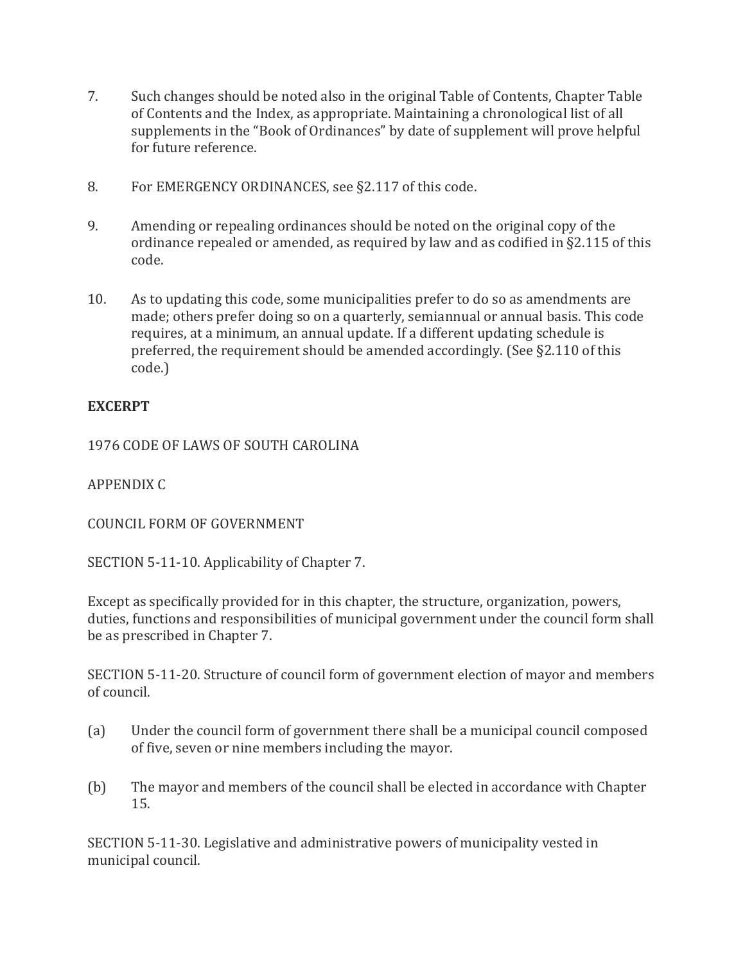- 7. Such changes should be noted also in the original Table of Contents, Chapter Table of Contents and the Index, as appropriate. Maintaining a chronological list of all supplements in the "Book of Ordinances" by date of supplement will prove helpful for future reference.
- 8. For EMERGENCY ORDINANCES, see §2.117 of this code.
- 9. Amending or repealing ordinances should be noted on the original copy of the ordinance repealed or amended, as required by law and as codified in §2.115 of this code.
- 10. As to updating this code, some municipalities prefer to do so as amendments are made; others prefer doing so on a quarterly, semiannual or annual basis. This code requires, at a minimum, an annual update. If a different updating schedule is preferred, the requirement should be amended accordingly. (See §2.110 of this code.)

#### **EXCERPT**

1976 CODE OF LAWS OF SOUTH CAROLINA

APPENDIX C

COUNCIL FORM OF GOVERNMENT

SECTION 5-11-10. Applicability of Chapter 7.

Except as specifically provided for in this chapter, the structure, organization, powers, duties, functions and responsibilities of municipal government under the council form shall be as prescribed in Chapter 7.

SECTION 5-11-20. Structure of council form of government election of mayor and members of council.

- (a) Under the council form of government there shall be a municipal council composed of five, seven or nine members including the mayor.
- (b) The mayor and members of the council shall be elected in accordance with Chapter 15.

SECTION 5-11-30. Legislative and administrative powers of municipality vested in municipal council.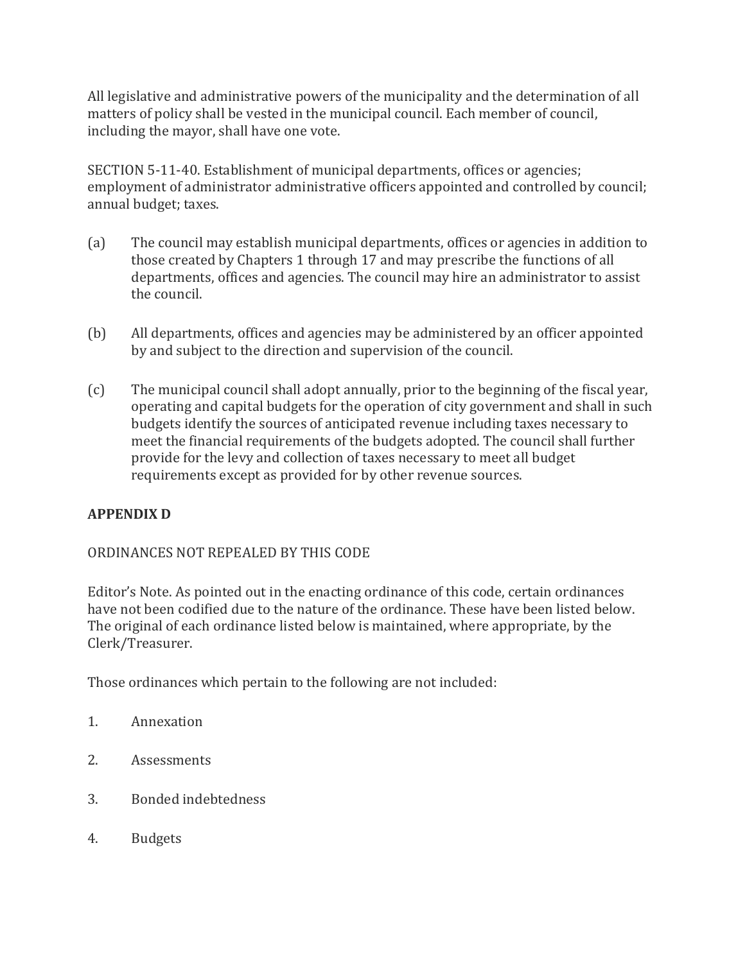All legislative and administrative powers of the municipality and the determination of all matters of policy shall be vested in the municipal council. Each member of council, including the mayor, shall have one vote.

SECTION 5-11-40. Establishment of municipal departments, offices or agencies; employment of administrator administrative officers appointed and controlled by council; annual budget; taxes.

- (a) The council may establish municipal departments, offices or agencies in addition to those created by Chapters 1 through 17 and may prescribe the functions of all departments, offices and agencies. The council may hire an administrator to assist the council.
- (b) All departments, offices and agencies may be administered by an officer appointed by and subject to the direction and supervision of the council.
- (c) The municipal council shall adopt annually, prior to the beginning of the fiscal year, operating and capital budgets for the operation of city government and shall in such budgets identify the sources of anticipated revenue including taxes necessary to meet the financial requirements of the budgets adopted. The council shall further provide for the levy and collection of taxes necessary to meet all budget requirements except as provided for by other revenue sources.

#### **APPENDIX D**

#### ORDINANCES NOT REPEALED BY THIS CODE

Editor's Note. As pointed out in the enacting ordinance of this code, certain ordinances have not been codified due to the nature of the ordinance. These have been listed below. The original of each ordinance listed below is maintained, where appropriate, by the Clerk/Treasurer.

Those ordinances which pertain to the following are not included:

- 1. Annexation
- 2. Assessments
- 3. Bonded indebtedness
- 4. Budgets